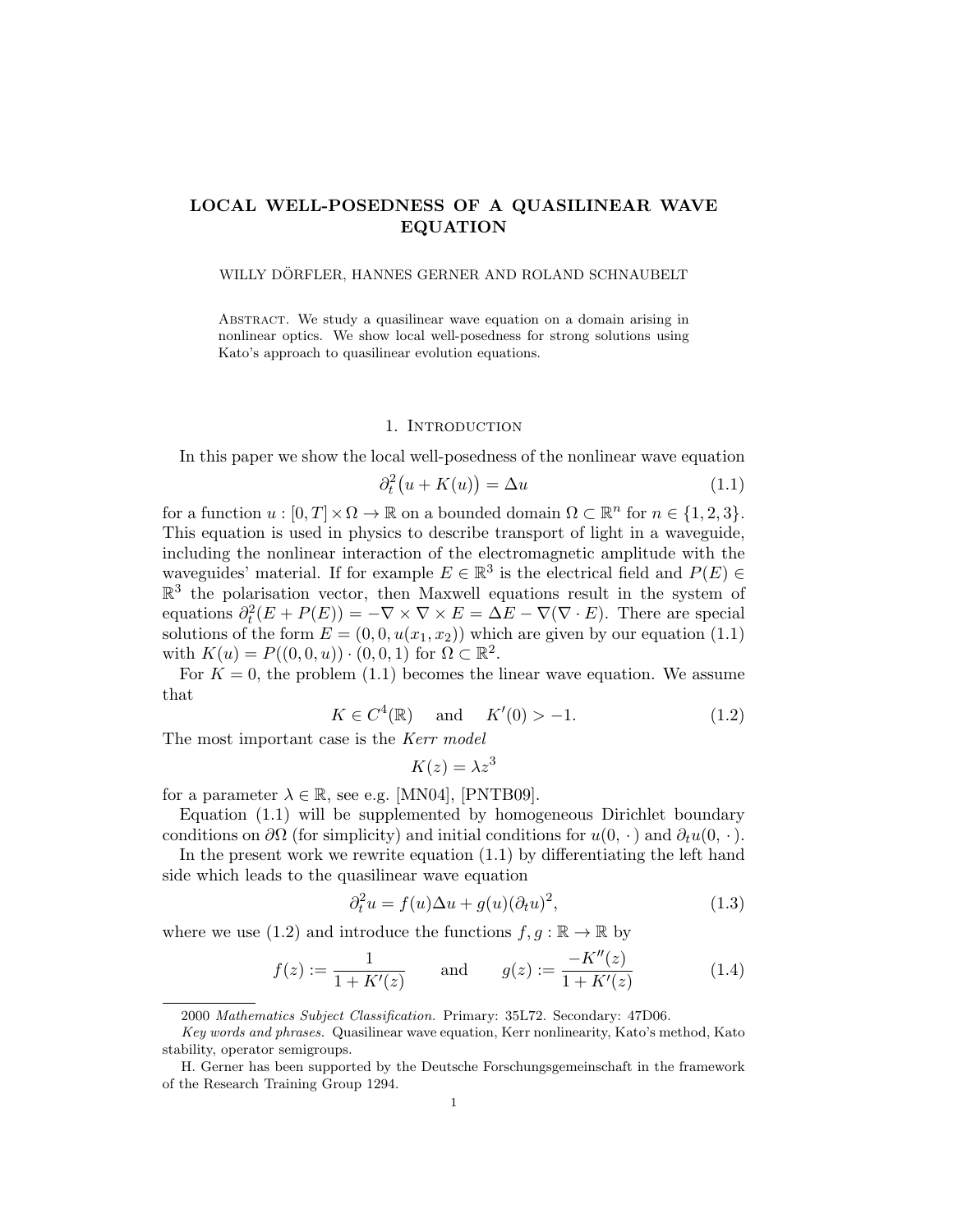# LOCAL WELL-POSEDNESS OF A QUASILINEAR WAVE EQUATION

## WILLY DÖRFLER, HANNES GERNER AND ROLAND SCHNAUBELT

Abstract. We study a quasilinear wave equation on a domain arising in nonlinear optics. We show local well-posedness for strong solutions using Kato's approach to quasilinear evolution equations.

#### 1. INTRODUCTION

In this paper we show the local well-posedness of the nonlinear wave equation

$$
\partial_t^2(u + K(u)) = \Delta u \tag{1.1}
$$

for a function  $u : [0, T] \times \Omega \to \mathbb{R}$  on a bounded domain  $\Omega \subset \mathbb{R}^n$  for  $n \in \{1, 2, 3\}.$ This equation is used in physics to describe transport of light in a waveguide, including the nonlinear interaction of the electromagnetic amplitude with the waveguides' material. If for example  $E \in \mathbb{R}^3$  is the electrical field and  $P(E) \in$  $\mathbb{R}^3$  the polarisation vector, then Maxwell equations result in the system of equations  $\partial_t^2(E + P(E)) = -\nabla \times \nabla \times E = \Delta E - \nabla(\nabla \cdot E)$ . There are special solutions of the form  $E = (0, 0, u(x_1, x_2))$  which are given by our equation (1.1) with  $K(u) = P((0,0,u)) \cdot (0,0,1)$  for  $\Omega \subset \mathbb{R}^2$ .

For  $K = 0$ , the problem (1.1) becomes the linear wave equation. We assume that

$$
K \in C^4(\mathbb{R})
$$
 and  $K'(0) > -1.$  (1.2)

The most important case is the Kerr model

$$
K(z) = \lambda z^3
$$

for a parameter  $\lambda \in \mathbb{R}$ , see e.g. [MN04], [PNTB09].

Equation (1.1) will be supplemented by homogeneous Dirichlet boundary conditions on  $\partial\Omega$  (for simplicity) and initial conditions for  $u(0, \cdot)$  and  $\partial_t u(0, \cdot)$ .

In the present work we rewrite equation (1.1) by differentiating the left hand side which leads to the quasilinear wave equation

$$
\partial_t^2 u = f(u)\Delta u + g(u)(\partial_t u)^2, \tag{1.3}
$$

where we use (1.2) and introduce the functions  $f, g : \mathbb{R} \to \mathbb{R}$  by

$$
f(z) := \frac{1}{1 + K'(z)} \quad \text{and} \quad g(z) := \frac{-K''(z)}{1 + K'(z)} \tag{1.4}
$$

<sup>2000</sup> Mathematics Subject Classification. Primary: 35L72. Secondary: 47D06.

Key words and phrases. Quasilinear wave equation, Kerr nonlinearity, Kato's method, Kato stability, operator semigroups.

H. Gerner has been supported by the Deutsche Forschungsgemeinschaft in the framework of the Research Training Group 1294.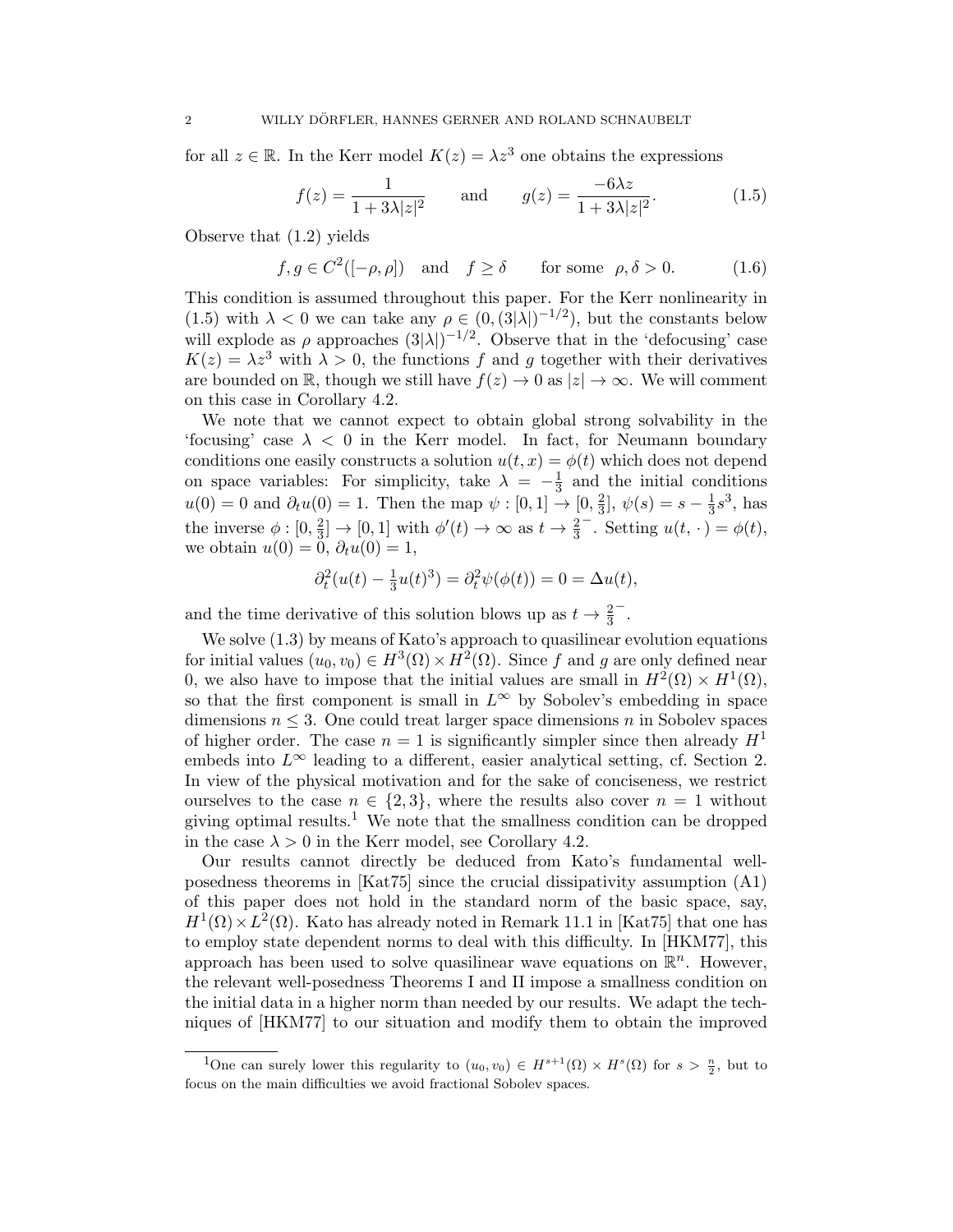for all  $z \in \mathbb{R}$ . In the Kerr model  $K(z) = \lambda z^3$  one obtains the expressions

$$
f(z) = \frac{1}{1 + 3\lambda |z|^2} \quad \text{and} \quad g(z) = \frac{-6\lambda z}{1 + 3\lambda |z|^2}.
$$
 (1.5)

Observe that (1.2) yields

 $f, g \in C^2([-\rho, \rho])$  and  $f \ge \delta$  for some  $\rho, \delta > 0$ . (1.6)

This condition is assumed throughout this paper. For the Kerr nonlinearity in (1.5) with  $\lambda < 0$  we can take any  $\rho \in (0, (3|\lambda|)^{-1/2})$ , but the constants below will explode as  $\rho$  approaches  $(3|\lambda|)^{-1/2}$ . Observe that in the 'defocusing' case  $K(z) = \lambda z^3$  with  $\lambda > 0$ , the functions f and g together with their derivatives are bounded on R, though we still have  $f(z) \to 0$  as  $|z| \to \infty$ . We will comment on this case in Corollary 4.2.

We note that we cannot expect to obtain global strong solvability in the 'focusing' case  $\lambda < 0$  in the Kerr model. In fact, for Neumann boundary conditions one easily constructs a solution  $u(t, x) = \phi(t)$  which does not depend on space variables: For simplicity, take  $\lambda = -\frac{1}{3}$  $\frac{1}{3}$  and the initial conditions  $u(0) = 0$  and  $\partial_t u(0) = 1$ . Then the map  $\psi : [0,1] \rightarrow [0, \frac{2}{3}]$  $\frac{2}{3}$ ,  $\psi(s) = s - \frac{1}{3}$  $\frac{1}{3}s^3$ , has the inverse  $\phi: [0, \frac{2}{3}]$  $\frac{2}{3}$   $\rightarrow$  [0, 1] with  $\phi'(t) \rightarrow \infty$  as  $t \rightarrow \frac{2}{3}$  $\overline{\phantom{a}}$ . Setting  $u(t, \cdot) = \phi(t)$ , we obtain  $u(0) = 0$ ,  $\partial_t u(0) = 1$ ,

$$
\partial_t^2(u(t) - \frac{1}{3}u(t)^3) = \partial_t^2 \psi(\phi(t)) = 0 = \Delta u(t),
$$

and the time derivative of this solution blows up as  $t \to \frac{2}{3}$ − .

We solve  $(1.3)$  by means of Kato's approach to quasilinear evolution equations for initial values  $(u_0, v_0) \in H^3(\Omega) \times H^2(\Omega)$ . Since f and g are only defined near 0, we also have to impose that the initial values are small in  $H^2(\Omega) \times H^1(\Omega)$ , so that the first component is small in  $L^{\infty}$  by Sobolev's embedding in space dimensions  $n \leq 3$ . One could treat larger space dimensions n in Sobolev spaces of higher order. The case  $n = 1$  is significantly simpler since then already  $H<sup>1</sup>$ embeds into  $L^{\infty}$  leading to a different, easier analytical setting, cf. Section 2. In view of the physical motivation and for the sake of conciseness, we restrict ourselves to the case  $n \in \{2,3\}$ , where the results also cover  $n = 1$  without giving optimal results.<sup>1</sup> We note that the smallness condition can be dropped in the case  $\lambda > 0$  in the Kerr model, see Corollary 4.2.

Our results cannot directly be deduced from Kato's fundamental wellposedness theorems in [Kat75] since the crucial dissipativity assumption (A1) of this paper does not hold in the standard norm of the basic space, say,  $H^1(\Omega) \times L^2(\Omega)$ . Kato has already noted in Remark 11.1 in [Kat75] that one has to employ state dependent norms to deal with this difficulty. In [HKM77], this approach has been used to solve quasilinear wave equations on  $\mathbb{R}^n$ . However, the relevant well-posedness Theorems I and II impose a smallness condition on the initial data in a higher norm than needed by our results. We adapt the techniques of [HKM77] to our situation and modify them to obtain the improved

<sup>&</sup>lt;sup>1</sup>One can surely lower this regularity to  $(u_0, v_0) \in H^{s+1}(\Omega) \times H^s(\Omega)$  for  $s > \frac{n}{2}$ , but to focus on the main difficulties we avoid fractional Sobolev spaces.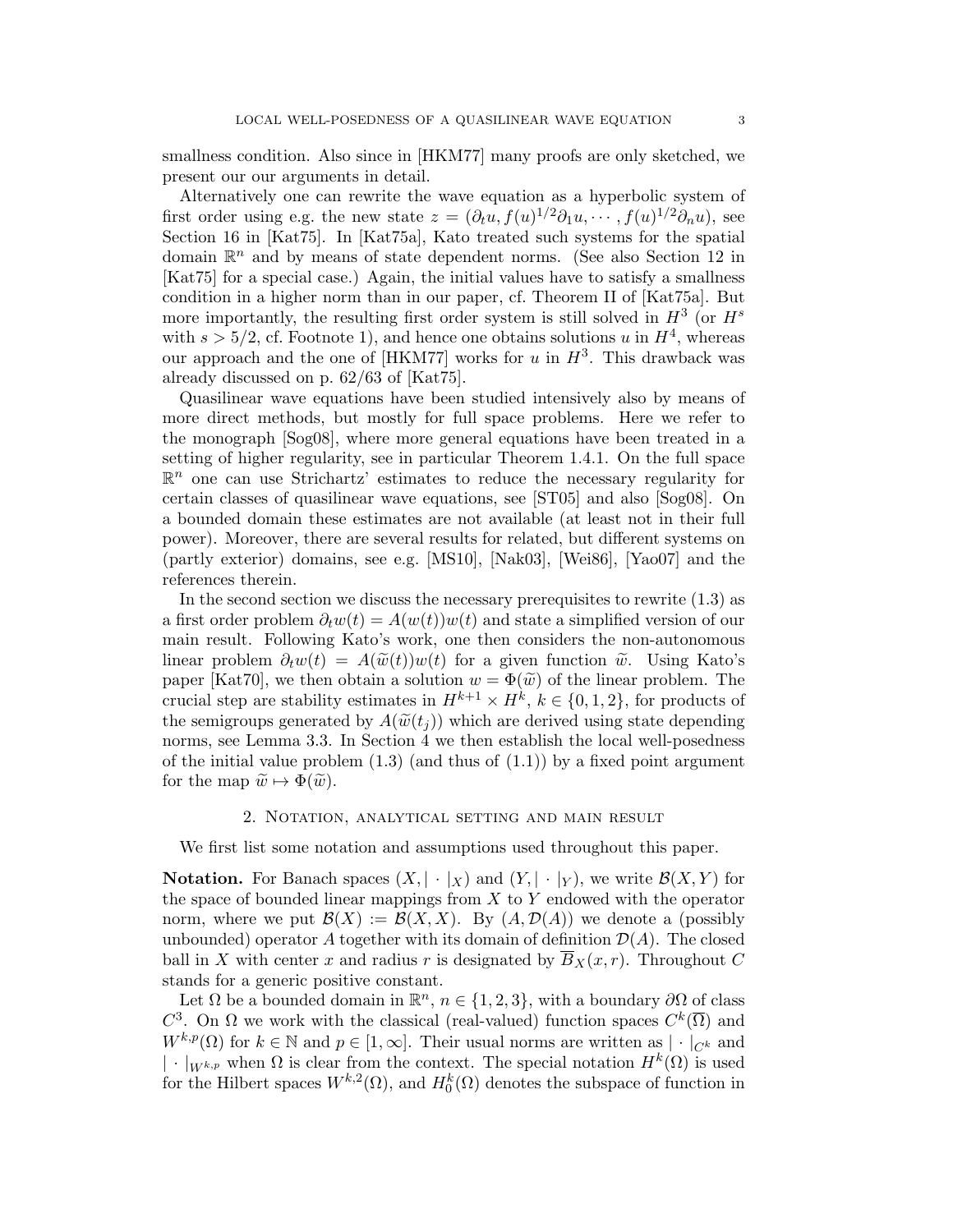smallness condition. Also since in [HKM77] many proofs are only sketched, we present our our arguments in detail.

Alternatively one can rewrite the wave equation as a hyperbolic system of first order using e.g. the new state  $z = (\partial_t u, f(u)^{1/2} \partial_1 u, \dots, f(u)^{1/2} \partial_n u)$ , see Section 16 in [Kat75]. In [Kat75a], Kato treated such systems for the spatial domain  $\mathbb{R}^n$  and by means of state dependent norms. (See also Section 12 in [Kat75] for a special case.) Again, the initial values have to satisfy a smallness condition in a higher norm than in our paper, cf. Theorem II of [Kat75a]. But more importantly, the resulting first order system is still solved in  $H^3$  (or  $H^s$ with  $s > 5/2$ , cf. Footnote 1), and hence one obtains solutions u in  $H<sup>4</sup>$ , whereas our approach and the one of [HKM77] works for u in  $H^3$ . This drawback was already discussed on p. 62/63 of [Kat75].

Quasilinear wave equations have been studied intensively also by means of more direct methods, but mostly for full space problems. Here we refer to the monograph [Sog08], where more general equations have been treated in a setting of higher regularity, see in particular Theorem 1.4.1. On the full space  $\mathbb{R}^n$  one can use Strichartz' estimates to reduce the necessary regularity for certain classes of quasilinear wave equations, see [ST05] and also [Sog08]. On a bounded domain these estimates are not available (at least not in their full power). Moreover, there are several results for related, but different systems on (partly exterior) domains, see e.g. [MS10], [Nak03], [Wei86], [Yao07] and the references therein.

In the second section we discuss the necessary prerequisites to rewrite (1.3) as a first order problem  $\partial_t w(t) = A(w(t))w(t)$  and state a simplified version of our main result. Following Kato's work, one then considers the non-autonomous linear problem  $\partial_t w(t) = A(\tilde{w}(t))w(t)$  for a given function  $\tilde{w}$ . Using Kato's paper [Kat70], we then obtain a solution  $w = \Phi(\tilde{w})$  of the linear problem. The crucial step are stability estimates in  $H^{k+1} \times H^k$ ,  $k \in \{0, 1, 2\}$ , for products of the semigroups generated by  $A(\widetilde{w}(t_i))$  which are derived using state depending norms, see Lemma 3.3. In Section 4 we then establish the local well-posedness of the initial value problem  $(1.3)$  (and thus of  $(1.1)$ ) by a fixed point argument for the map  $\widetilde{w} \mapsto \Phi(\widetilde{w})$ .

# 2. Notation, analytical setting and main result

We first list some notation and assumptions used throughout this paper.

**Notation.** For Banach spaces  $(X, \vert \cdot \vert_X)$  and  $(Y, \vert \cdot \vert_Y)$ , we write  $\mathcal{B}(X, Y)$  for the space of bounded linear mappings from  $X$  to  $Y$  endowed with the operator norm, where we put  $\mathcal{B}(X) := \mathcal{B}(X, X)$ . By  $(A, \mathcal{D}(A))$  we denote a (possibly unbounded) operator A together with its domain of definition  $\mathcal{D}(A)$ . The closed ball in X with center x and radius r is designated by  $\overline{B}_X(x, r)$ . Throughout C stands for a generic positive constant.

Let  $\Omega$  be a bounded domain in  $\mathbb{R}^n$ ,  $n \in \{1, 2, 3\}$ , with a boundary  $\partial\Omega$  of class  $C^3$ . On Ω we work with the classical (real-valued) function spaces  $C^k(\overline{\Omega})$  and  $W^{k,p}(\Omega)$  for  $k \in \mathbb{N}$  and  $p \in [1,\infty]$ . Their usual norms are written as  $|\cdot|_{C^k}$  and  $|\cdot|_{W^{k,p}}$  when  $\Omega$  is clear from the context. The special notation  $H^k(\Omega)$  is used for the Hilbert spaces  $W^{k,2}(\Omega)$ , and  $H_0^k(\Omega)$  denotes the subspace of function in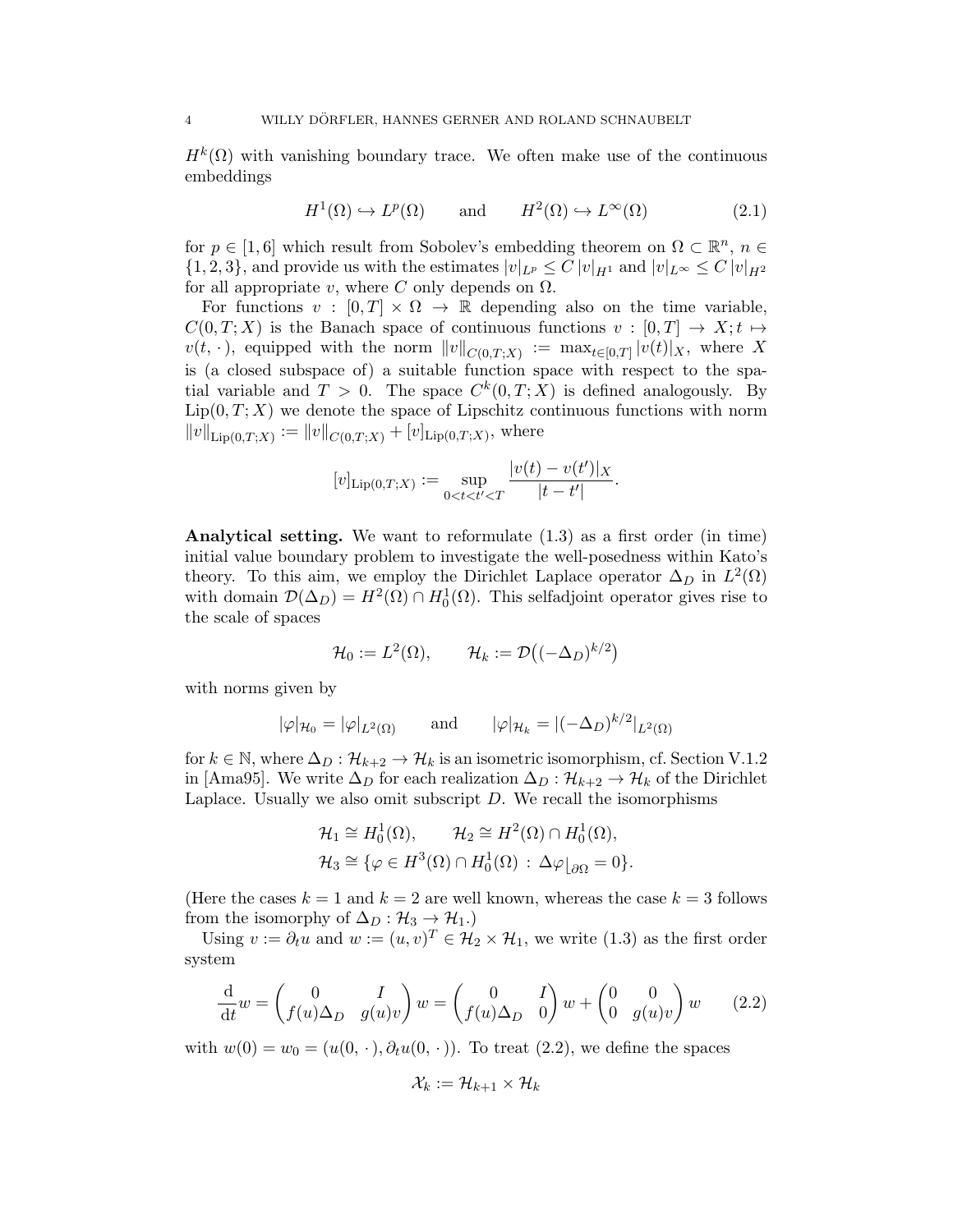$H^k(\Omega)$  with vanishing boundary trace. We often make use of the continuous embeddings

$$
H^{1}(\Omega) \hookrightarrow L^{p}(\Omega) \quad \text{and} \quad H^{2}(\Omega) \hookrightarrow L^{\infty}(\Omega) \tag{2.1}
$$

for  $p \in [1, 6]$  which result from Sobolev's embedding theorem on  $\Omega \subset \mathbb{R}^n$ ,  $n \in$  $\{1,2,3\}$ , and provide us with the estimates  $|v|_{L^p} \leq C |v|_{H^1}$  and  $|v|_{L^\infty} \leq C |v|_{H^2}$ for all appropriate v, where C only depends on  $\Omega$ .

For functions  $v : [0, T] \times \Omega \rightarrow \mathbb{R}$  depending also on the time variable,  $C(0, T; X)$  is the Banach space of continuous functions  $v : [0, T] \rightarrow X; t \mapsto$  $v(t, \cdot)$ , equipped with the norm  $||v||_{C(0,T;X)} := \max_{t \in [0,T]} |v(t)|_X$ , where X is (a closed subspace of) a suitable function space with respect to the spatial variable and  $T > 0$ . The space  $C^k(0,T;X)$  is defined analogously. By  $Lip(0, T; X)$  we denote the space of Lipschitz continuous functions with norm  $||v||_{\text{Lip}(0,T;X)} := ||v||_{C(0,T;X)} + [v]_{\text{Lip}(0,T;X)}$ , where

$$
[v]_{\text{Lip}(0,T;X)} := \sup_{0 \le t \le t' \le T} \frac{|v(t) - v(t')|}{|t - t'|}.
$$

Analytical setting. We want to reformulate (1.3) as a first order (in time) initial value boundary problem to investigate the well-posedness within Kato's theory. To this aim, we employ the Dirichlet Laplace operator  $\Delta_D$  in  $L^2(\Omega)$ with domain  $\mathcal{D}(\Delta_D) = H^2(\Omega) \cap H_0^1(\Omega)$ . This selfadjoint operator gives rise to the scale of spaces

$$
\mathcal{H}_0 := L^2(\Omega), \qquad \mathcal{H}_k := \mathcal{D}\big((-\Delta_D)^{k/2}\big)
$$

with norms given by

$$
|\varphi|_{\mathcal{H}_0} = |\varphi|_{L^2(\Omega)}
$$
 and  $|\varphi|_{\mathcal{H}_k} = |(-\Delta_D)^{k/2}|_{L^2(\Omega)}$ 

for  $k \in \mathbb{N}$ , where  $\Delta_D : \mathcal{H}_{k+2} \to \mathcal{H}_k$  is an isometric isomorphism, cf. Section V.1.2 in [Ama95]. We write  $\Delta_D$  for each realization  $\Delta_D : \mathcal{H}_{k+2} \to \mathcal{H}_k$  of the Dirichlet Laplace. Usually we also omit subscript  $D$ . We recall the isomorphisms

$$
\mathcal{H}_1 \cong H_0^1(\Omega), \qquad \mathcal{H}_2 \cong H^2(\Omega) \cap H_0^1(\Omega),
$$
  

$$
\mathcal{H}_3 \cong \{ \varphi \in H^3(\Omega) \cap H_0^1(\Omega) \, : \, \Delta \varphi|_{\partial \Omega} = 0 \}.
$$

(Here the cases  $k = 1$  and  $k = 2$  are well known, whereas the case  $k = 3$  follows from the isomorphy of  $\Delta_D : \mathcal{H}_3 \to \mathcal{H}_1$ .)

Using  $v := \partial_t u$  and  $w := (u, v)^T \in \mathcal{H}_2 \times \mathcal{H}_1$ , we write (1.3) as the first order system

$$
\frac{\mathrm{d}}{\mathrm{d}t}w = \begin{pmatrix} 0 & I \\ f(u)\Delta_D & g(u)v \end{pmatrix} w = \begin{pmatrix} 0 & I \\ f(u)\Delta_D & 0 \end{pmatrix} w + \begin{pmatrix} 0 & 0 \\ 0 & g(u)v \end{pmatrix} w \qquad (2.2)
$$

with  $w(0) = w_0 = (u(0, \cdot), \partial_t u(0, \cdot))$ . To treat (2.2), we define the spaces

$$
\mathcal{X}_k := \mathcal{H}_{k+1} \times \mathcal{H}_k
$$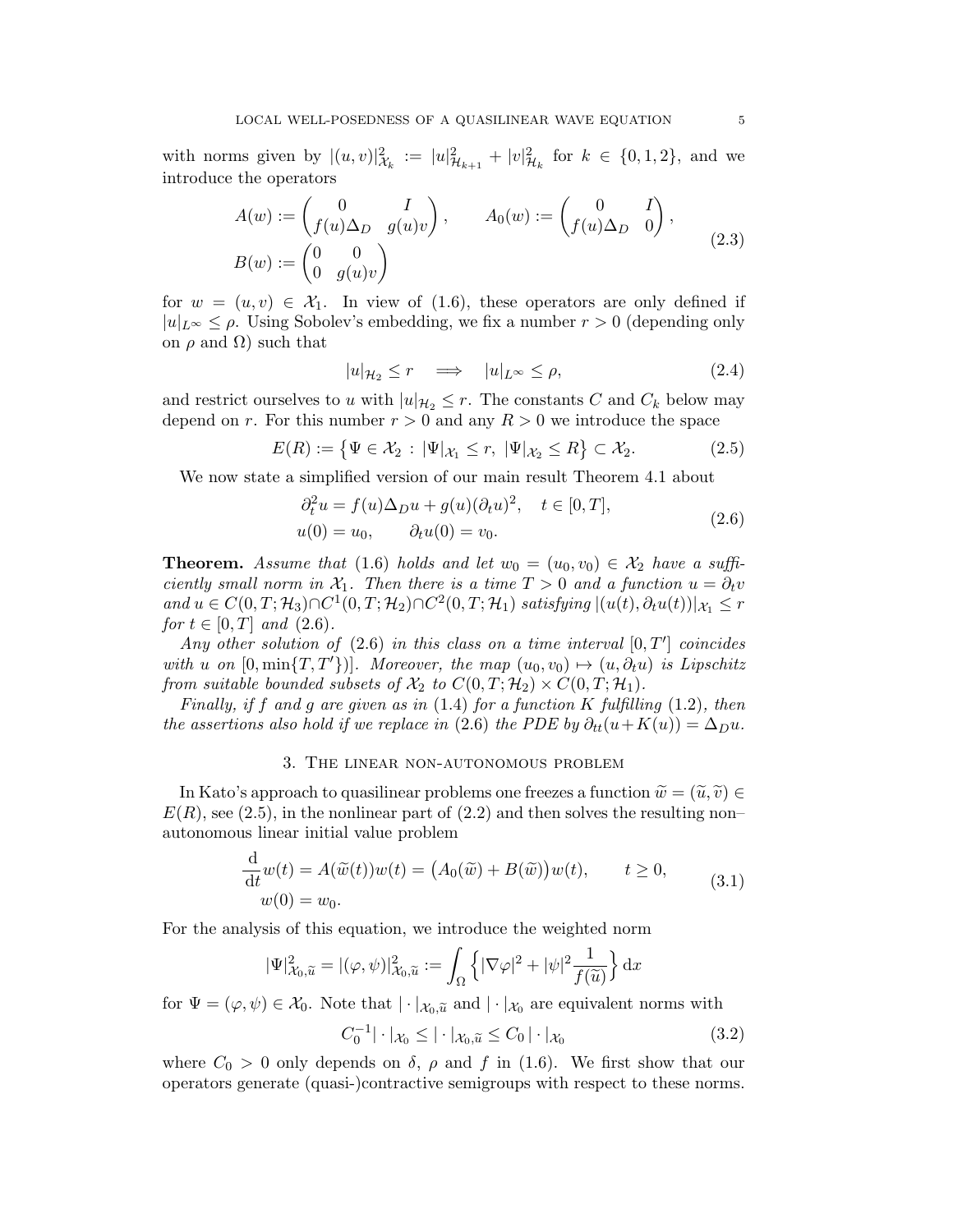with norms given by  $|(u, v)|^2_{\mathcal{X}_k} := |u|^2_{\mathcal{H}_{k+1}} + |v|^2_{\mathcal{H}_k}$  for  $k \in \{0, 1, 2\}$ , and we introduce the operators

$$
A(w) := \begin{pmatrix} 0 & I \\ f(u)\Delta_D & g(u)v \end{pmatrix}, \qquad A_0(w) := \begin{pmatrix} 0 & I \\ f(u)\Delta_D & 0 \end{pmatrix},
$$
  

$$
B(w) := \begin{pmatrix} 0 & 0 \\ 0 & g(u)v \end{pmatrix}
$$
 (2.3)

for  $w = (u, v) \in \mathcal{X}_1$ . In view of (1.6), these operators are only defined if  $|u|_{L^{\infty}} \leq \rho$ . Using Sobolev's embedding, we fix a number  $r > 0$  (depending only on  $\rho$  and  $\Omega$ ) such that

$$
|u|_{\mathcal{H}_2} \le r \quad \Longrightarrow \quad |u|_{L^\infty} \le \rho,\tag{2.4}
$$

and restrict ourselves to u with  $|u|_{\mathcal{H}_2} \leq r$ . The constants C and  $C_k$  below may depend on r. For this number  $r > 0$  and any  $R > 0$  we introduce the space

$$
E(R) := \left\{ \Psi \in \mathcal{X}_2 : |\Psi|_{\mathcal{X}_1} \le r, \ |\Psi|_{\mathcal{X}_2} \le R \right\} \subset \mathcal{X}_2. \tag{2.5}
$$

We now state a simplified version of our main result Theorem 4.1 about

$$
\partial_t^2 u = f(u)\Delta_D u + g(u)(\partial_t u)^2, \quad t \in [0, T],
$$
  
 
$$
u(0) = u_0, \qquad \partial_t u(0) = v_0.
$$
 (2.6)

**Theorem.** Assume that (1.6) holds and let  $w_0 = (u_0, v_0) \in \mathcal{X}_2$  have a sufficiently small norm in  $\mathcal{X}_1$ . Then there is a time  $T > 0$  and a function  $u = \partial_t v$ and  $u \in C(0,T; \mathcal{H}_3) \cap C^1(0,T; \mathcal{H}_2) \cap C^2(0,T; \mathcal{H}_1)$  satisfying  $|(u(t), \partial_t u(t))|_{\mathcal{X}_1} \leq r$ for  $t \in [0, T]$  and  $(2.6)$ .

Any other solution of  $(2.6)$  in this class on a time interval  $[0, T']$  coincides with u on  $[0, \min\{T, T'\}]$ . Moreover, the map  $(u_0, v_0) \mapsto (u, \partial_t u)$  is Lipschitz from suitable bounded subsets of  $\mathcal{X}_2$  to  $C(0,T;\mathcal{H}_2) \times C(0,T;\mathcal{H}_1)$ .

Finally, if f and g are given as in  $(1.4)$  for a function K fulfilling  $(1.2)$ , then the assertions also hold if we replace in (2.6) the PDE by  $\partial_{tt}(u+K(u)) = \Delta_D u$ .

### 3. The linear non-autonomous problem

In Kato's approach to quasilinear problems one freezes a function  $\widetilde{w} = (\widetilde{u}, \widetilde{v}) \in$  $E(R)$ , see (2.5), in the nonlinear part of (2.2) and then solves the resulting non– autonomous linear initial value problem

$$
\frac{\mathrm{d}}{\mathrm{d}t}w(t) = A(\widetilde{w}(t))w(t) = (A_0(\widetilde{w}) + B(\widetilde{w}))w(t), \qquad t \ge 0,
$$
\n
$$
w(0) = w_0.
$$
\n(3.1)

For the analysis of this equation, we introduce the weighted norm

$$
|\Psi|^2_{\mathcal{X}_0,\widetilde{u}} = |(\varphi,\psi)|^2_{\mathcal{X}_0,\widetilde{u}} := \int_{\Omega} \left\{ |\nabla \varphi|^2 + |\psi|^2 \frac{1}{f(\widetilde{u})} \right\} dx
$$

for  $\Psi = (\varphi, \psi) \in \mathcal{X}_0$ . Note that  $|\cdot|_{\mathcal{X}_0}$  and  $|\cdot|_{\mathcal{X}_0}$  are equivalent norms with

$$
C_0^{-1} |\cdot|\mathcal{X}_0 \le |\cdot|\mathcal{X}_0, \tilde{u} \le C_0 |\cdot|\mathcal{X}_0
$$
\n(3.2)

where  $C_0 > 0$  only depends on  $\delta$ ,  $\rho$  and f in (1.6). We first show that our operators generate (quasi-)contractive semigroups with respect to these norms.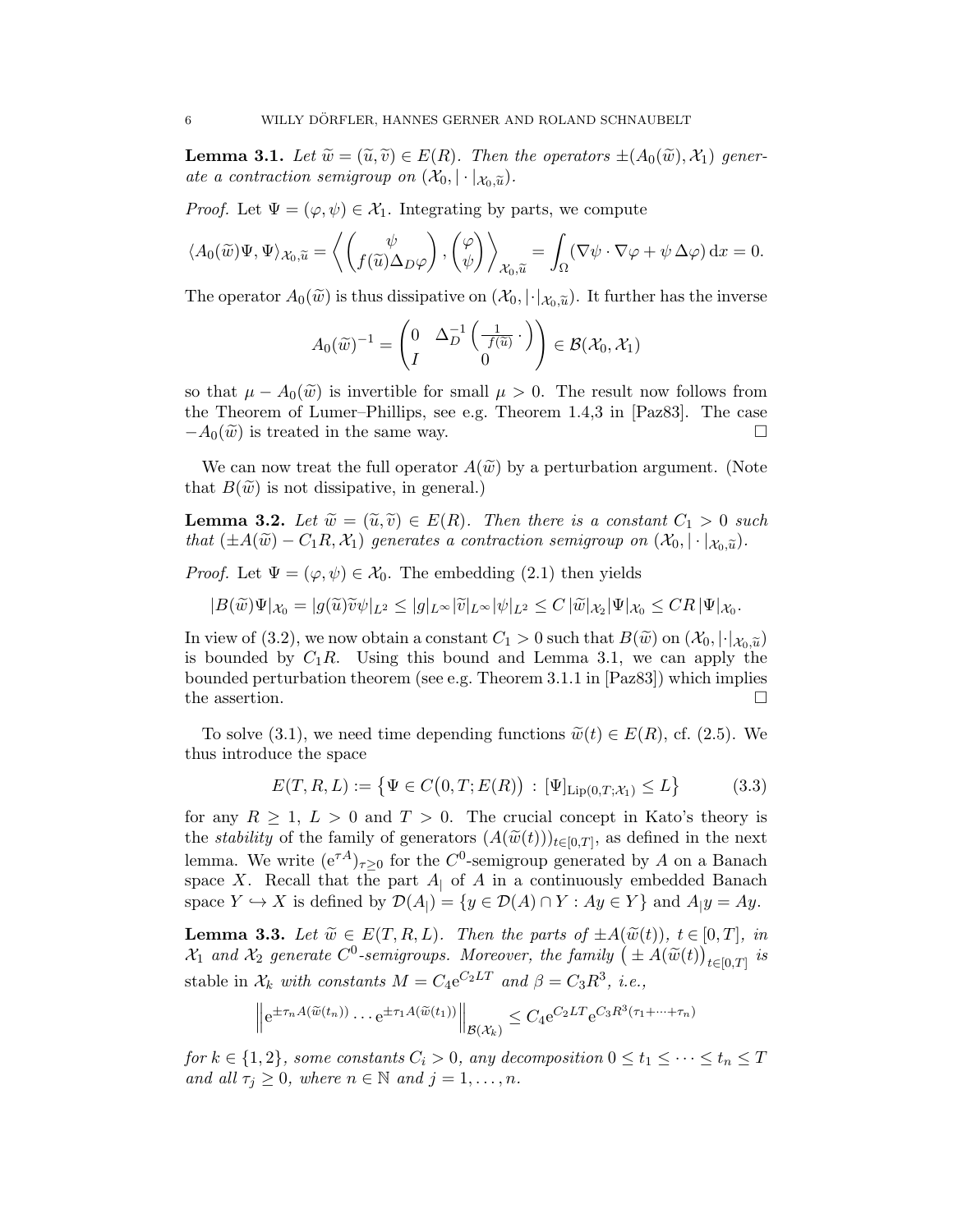**Lemma 3.1.** Let  $\widetilde{w} = (\widetilde{u}, \widetilde{v}) \in E(R)$ . Then the operators  $\pm (A_0(\widetilde{w}), X_1)$  generate a contraction semigroup on  $(\mathcal{X}_0, |\cdot|_{\mathcal{X}_0,\tilde{u}})$ .

*Proof.* Let  $\Psi = (\varphi, \psi) \in \mathcal{X}_1$ . Integrating by parts, we compute

$$
\langle A_0(\widetilde{w})\Psi, \Psi \rangle_{\mathcal{X}_0, \widetilde{u}} = \left\langle \begin{pmatrix} \psi \\ f(\widetilde{u})\Delta_D\varphi \end{pmatrix}, \begin{pmatrix} \varphi \\ \psi \end{pmatrix} \right\rangle_{\mathcal{X}_0, \widetilde{u}} = \int_{\Omega} (\nabla \psi \cdot \nabla \varphi + \psi \Delta \varphi) dx = 0.
$$

The operator  $A_0(\widetilde{w})$  is thus dissipative on  $(\mathcal{X}_0, |\cdot|_{\mathcal{X}_0,\widetilde{u}})$ . It further has the inverse

$$
A_0(\widetilde{w})^{-1} = \begin{pmatrix} 0 & \Delta_D^{-1}\left(\frac{1}{f(\widetilde{u})}\cdot\right) \\ I & 0 \end{pmatrix} \in \mathcal{B}(\mathcal{X}_0, \mathcal{X}_1)
$$

so that  $\mu - A_0(\tilde{w})$  is invertible for small  $\mu > 0$ . The result now follows from the Theorem of Lumer–Phillips, see e.g. Theorem 1.4,3 in [Paz83]. The case  $-A_0(\widetilde{w})$  is treated in the same way.

We can now treat the full operator  $A(\tilde{w})$  by a perturbation argument. (Note that  $B(\tilde{w})$  is not dissipative, in general.)

**Lemma 3.2.** Let  $\widetilde{w} = (\widetilde{u}, \widetilde{v}) \in E(R)$ . Then there is a constant  $C_1 > 0$  such that  $(\pm A(\widetilde{w}) - C_1R, \mathcal{X}_1)$  generates a contraction semigroup on  $(\mathcal{X}_0, |\cdot|_{\mathcal{X}_0, \widetilde{u}})$ .

*Proof.* Let  $\Psi = (\varphi, \psi) \in \mathcal{X}_0$ . The embedding (2.1) then yields

$$
|B(\widetilde{w})\Psi|_{\mathcal{X}_0}=|g(\widetilde{u})\widetilde{v}\psi|_{L^2}\leq|g|_{L^{\infty}}|\widetilde{v}|_{L^{\infty}}|\psi|_{L^2}\leq C|\widetilde{w}|_{\mathcal{X}_2}|\Psi|_{\mathcal{X}_0}\leq CR|\Psi|_{\mathcal{X}_0}.
$$

In view of (3.2), we now obtain a constant  $C_1 > 0$  such that  $B(\widetilde{w})$  on  $(\mathcal{X}_0, |\cdot|_{\mathcal{X}_0, \widetilde{u}})$ is bounded by  $C_1R$ . Using this bound and Lemma 3.1, we can apply the bounded perturbation theorem (see e.g. Theorem 3.1.1 in [Paz83]) which implies the assertion.  $\Box$ 

To solve (3.1), we need time depending functions  $\widetilde{w}(t) \in E(R)$ , cf. (2.5). We thus introduce the space

$$
E(T, R, L) := \{ \Psi \in C(0, T; E(R)) : [\Psi]_{\text{Lip}(0, T; \mathcal{X}_1)} \le L \}
$$
(3.3)

for any  $R \geq 1$ ,  $L > 0$  and  $T > 0$ . The crucial concept in Kato's theory is the *stability* of the family of generators  $(A(\widetilde{w}(t)))_{t\in[0,T]}$ , as defined in the next<br>lawyer  $W_t$  with  $(A^A)$  for the  $C^0$  continuous property law 4 cm a Banach lemma. We write  $(e^{\tau A})_{\tau \geq 0}$  for the  $C^0$ -semigroup generated by A on a Banach space X. Recall that the part  $A<sub>1</sub>$  of A in a continuously embedded Banach space  $Y \hookrightarrow X$  is defined by  $\mathcal{D}(A_{\vert}) = \{y \in \mathcal{D}(A) \cap Y : Ay \in Y\}$  and  $A_{\vert}y = Ay$ .

**Lemma 3.3.** Let  $\widetilde{w} \in E(T, R, L)$ . Then the parts of  $\pm A(\widetilde{w}(t)), t \in [0, T],$  in  $\mathcal{X}_1$  and  $\mathcal{X}_2$  generate  $C^0$ -semigroups. Moreover, the family  $(\pm A(\widetilde{w}(t))_{t\in[0,T]}$  is stable in  $\mathcal{X}_k$  with constants  $M = C_4 e^{C_2 LT}$  and  $\beta = C_3 R^3$ , i.e.,

$$
\left\| e^{\pm \tau_n A(\widetilde{w}(t_n))} \cdots e^{\pm \tau_1 A(\widetilde{w}(t_1))} \right\|_{\mathcal{B}(\mathcal{X}_k)} \leq C_4 e^{C_2 LT} e^{C_3 R^3(\tau_1 + \cdots + \tau_n)}
$$

for  $k \in \{1,2\}$ , some constants  $C_i > 0$ , any decomposition  $0 \le t_1 \le \cdots \le t_n \le T$ and all  $\tau_j \geq 0$ , where  $n \in \mathbb{N}$  and  $j = 1, \ldots, n$ .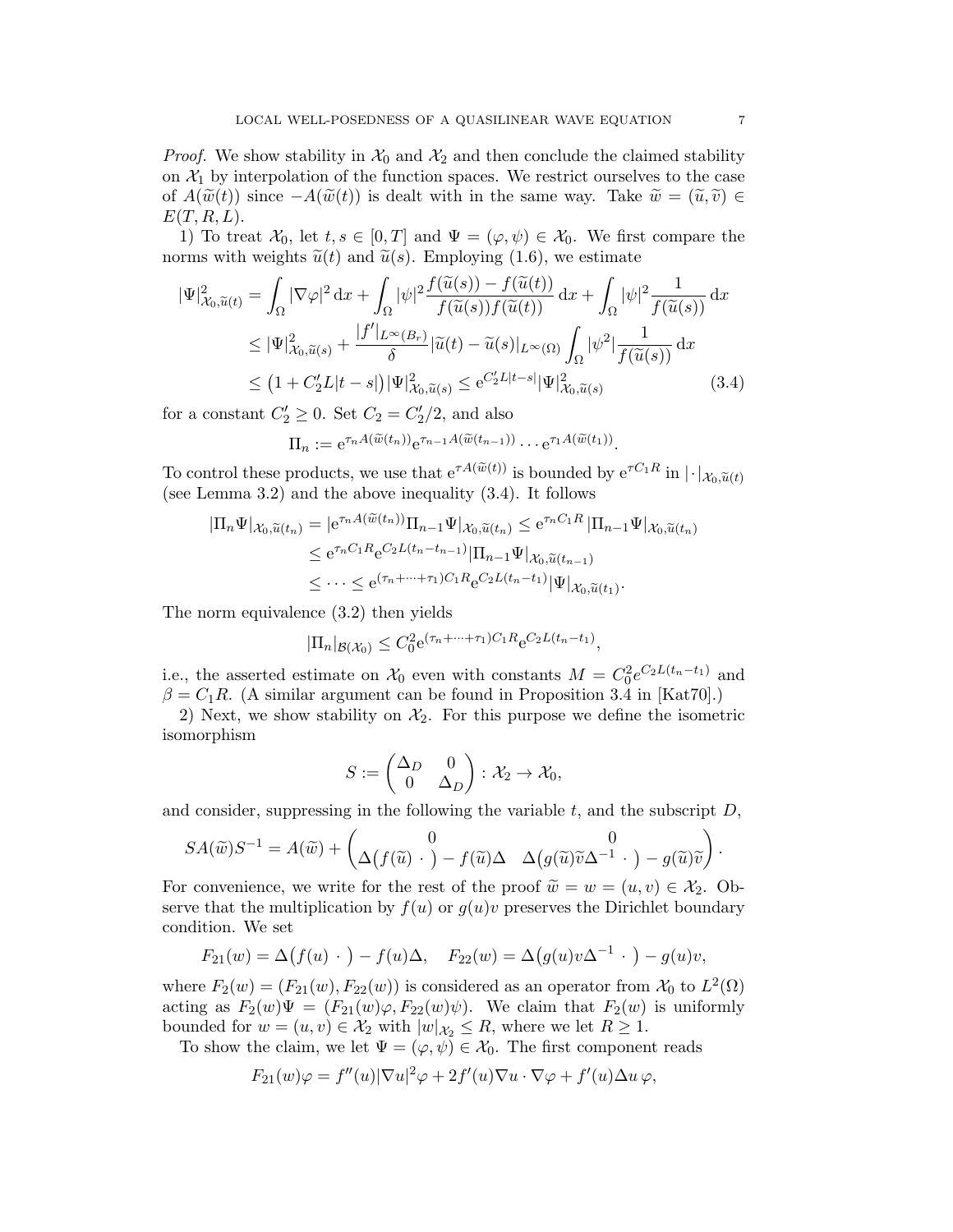*Proof.* We show stability in  $\mathcal{X}_0$  and  $\mathcal{X}_2$  and then conclude the claimed stability on  $\mathcal{X}_1$  by interpolation of the function spaces. We restrict ourselves to the case of  $A(\widetilde{w}(t))$  since  $-A(\widetilde{w}(t))$  is dealt with in the same way. Take  $\widetilde{w}=(\widetilde{u},\widetilde{v})\in$  $E(T, R, L)$ .

1) To treat  $\mathcal{X}_0$ , let  $t, s \in [0, T]$  and  $\Psi = (\varphi, \psi) \in \mathcal{X}_0$ . We first compare the norms with weights  $\tilde{u}(t)$  and  $\tilde{u}(s)$ . Employing (1.6), we estimate

$$
|\Psi|_{\mathcal{X}_0,\widetilde{u}(t)}^2 = \int_{\Omega} |\nabla \varphi|^2 dx + \int_{\Omega} |\psi|^2 \frac{f(\widetilde{u}(s)) - f(\widetilde{u}(t))}{f(\widetilde{u}(s))f(\widetilde{u}(t))} dx + \int_{\Omega} |\psi|^2 \frac{1}{f(\widetilde{u}(s))} dx
$$
  
\n
$$
\leq |\Psi|_{\mathcal{X}_0,\widetilde{u}(s)}^2 + \frac{|f'|_{L^{\infty}(B_r)}}{\delta} |\widetilde{u}(t) - \widetilde{u}(s)|_{L^{\infty}(\Omega)} \int_{\Omega} |\psi^2| \frac{1}{f(\widetilde{u}(s))} dx
$$
  
\n
$$
\leq (1 + C_2'L|t - s|) |\Psi|_{\mathcal{X}_0,\widetilde{u}(s)}^2 \leq e^{C_2'L|t - s|} |\Psi|_{\mathcal{X}_0,\widetilde{u}(s)}^2 \tag{3.4}
$$

for a constant  $C_2' \geq 0$ . Set  $C_2 = C_2'/2$ , and also

$$
\Pi_n := e^{\tau_n A(\widetilde{w}(t_n))} e^{\tau_{n-1} A(\widetilde{w}(t_{n-1}))} \cdots e^{\tau_1 A(\widetilde{w}(t_1))}.
$$

To control these products, we use that  $e^{\tau A(\tilde{w}(t))}$  is bounded by  $e^{\tau C_1 R}$  in  $|\cdot|_{\mathcal{X}_0,\tilde{u}(t)}$ (see Lemma 3.2) and the above inequality (3.4). It follows

$$
\begin{split} |\Pi_n \Psi|_{\mathcal{X}_0, \widetilde{u}(t_n)} &= |e^{\tau_n A(\widetilde{w}(t_n))} \Pi_{n-1} \Psi|_{\mathcal{X}_0, \widetilde{u}(t_n)} \le e^{\tau_n C_1 R} \left| \Pi_{n-1} \Psi|_{\mathcal{X}_0, \widetilde{u}(t_n)} \right. \\ &\le e^{\tau_n C_1 R} e^{C_2 L(t_n - t_{n-1})} |\Pi_{n-1} \Psi|_{\mathcal{X}_0, \widetilde{u}(t_{n-1})} \\ &\le \cdots \le e^{(\tau_n + \cdots + \tau_1) C_1 R} e^{C_2 L(t_n - t_1)} |\Psi|_{\mathcal{X}_0, \widetilde{u}(t_1)}. \end{split}
$$

The norm equivalence (3.2) then yields

$$
|\Pi_n|_{\mathcal{B}(\mathcal{X}_0)} \leq C_0^2 e^{(\tau_n + \dots + \tau_1)C_1 R} e^{C_2 L(t_n - t_1)},
$$

i.e., the asserted estimate on  $\mathcal{X}_0$  even with constants  $M = C_0^2 e^{C_2 L(t_n - t_1)}$  and  $\beta = C_1R$ . (A similar argument can be found in Proposition 3.4 in [Kat70].)

2) Next, we show stability on  $\mathcal{X}_2$ . For this purpose we define the isometric isomorphism

$$
S := \begin{pmatrix} \Delta_D & 0 \\ 0 & \Delta_D \end{pmatrix} : \mathcal{X}_2 \to \mathcal{X}_0,
$$

and consider, suppressing in the following the variable  $t$ , and the subscript  $D$ ,

$$
SA(\widetilde{w})S^{-1} = A(\widetilde{w}) + \begin{pmatrix} 0 & 0 \\ \Delta(f(\widetilde{u}) \cdot ) - f(\widetilde{u})\Delta & \Delta(g(\widetilde{u})\widetilde{v}\Delta^{-1} \cdot ) - g(\widetilde{u})\widetilde{v} \end{pmatrix}.
$$

For convenience, we write for the rest of the proof  $\widetilde{w} = w = (u, v) \in \mathcal{X}_2$ . Observe that the multiplication by  $f(u)$  or  $g(u)v$  preserves the Dirichlet boundary condition. We set

$$
F_{21}(w) = \Delta(f(u) \cdot ) - f(u)\Delta, \quad F_{22}(w) = \Delta(g(u)v\Delta^{-1} \cdot ) - g(u)v,
$$

where  $F_2(w) = (F_{21}(w), F_{22}(w))$  is considered as an operator from  $\mathcal{X}_0$  to  $L^2(\Omega)$ acting as  $F_2(w)\Psi = (F_{21}(w)\varphi, F_{22}(w)\psi)$ . We claim that  $F_2(w)$  is uniformly bounded for  $w = (u, v) \in \mathcal{X}_2$  with  $|w|_{\mathcal{X}_2} \leq R$ , where we let  $R \geq 1$ .

To show the claim, we let  $\Psi = (\varphi, \psi) \in \mathcal{X}_0$ . The first component reads

$$
F_{21}(w)\varphi = f''(u)|\nabla u|^2\varphi + 2f'(u)\nabla u \cdot \nabla \varphi + f'(u)\Delta u \varphi,
$$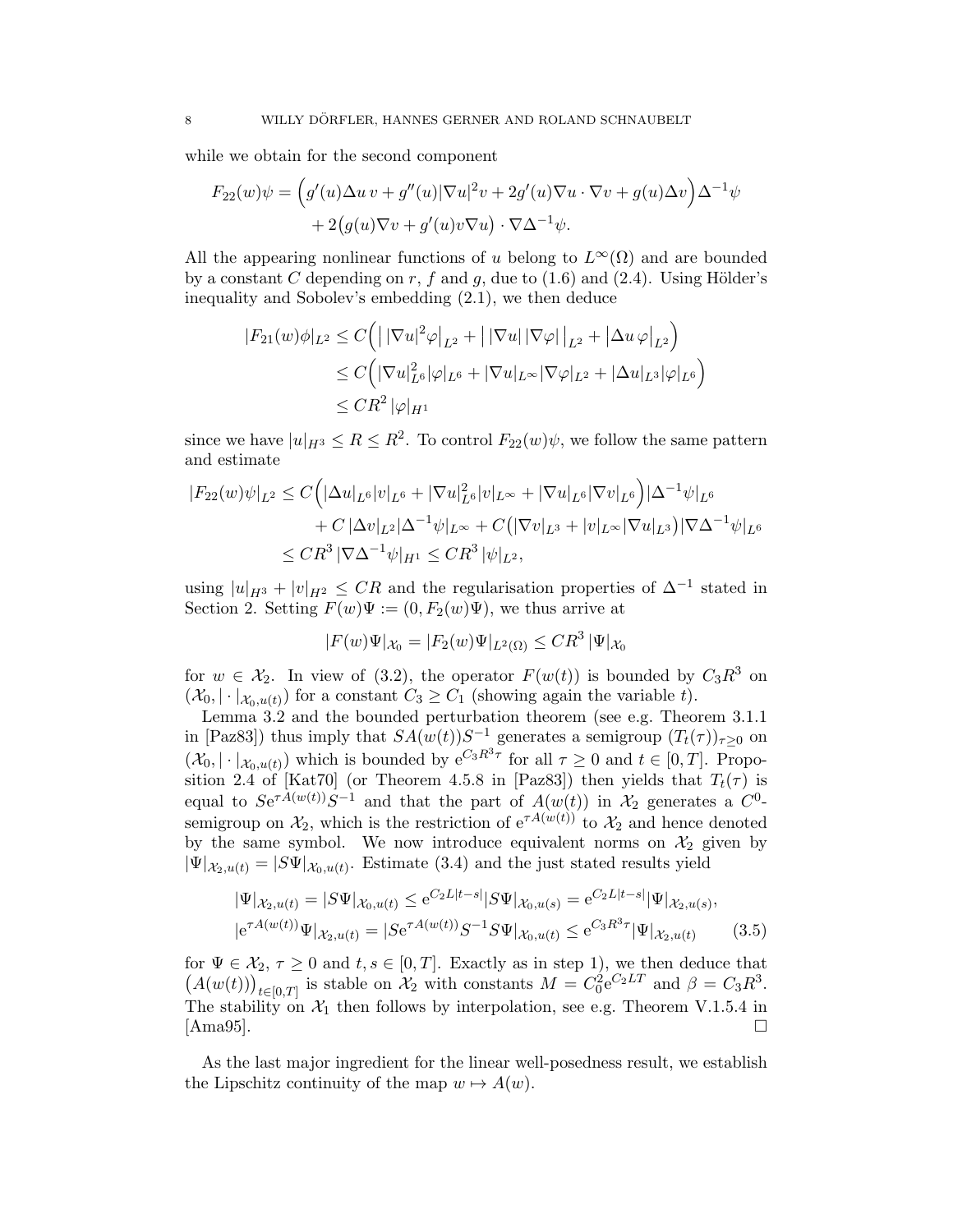while we obtain for the second component

$$
F_{22}(w)\psi = \left(g'(u)\Delta u v + g''(u)|\nabla u|^2 v + 2g'(u)\nabla u \cdot \nabla v + g(u)\Delta v\right)\Delta^{-1}\psi
$$

$$
+ 2\left(g(u)\nabla v + g'(u)v\nabla u\right)\cdot \nabla\Delta^{-1}\psi.
$$

All the appearing nonlinear functions of u belong to  $L^{\infty}(\Omega)$  and are bounded by a constant C depending on r, f and q, due to  $(1.6)$  and  $(2.4)$ . Using Hölder's inequality and Sobolev's embedding (2.1), we then deduce

$$
|F_{21}(w)\phi|_{L^2} \le C \Big( \big| |\nabla u|^2 \varphi \big|_{L^2} + \big| |\nabla u| |\nabla \varphi| \big|_{L^2} + \big| \Delta u \, \varphi \big|_{L^2} \Big)
$$
  
\n
$$
\le C \Big( |\nabla u|_{L^6}^2 |\varphi|_{L^6} + |\nabla u|_{L^\infty} |\nabla \varphi|_{L^2} + |\Delta u|_{L^3} |\varphi|_{L^6} \Big)
$$
  
\n
$$
\le CR^2 |\varphi|_{H^1}
$$

since we have  $|u|_{H^3} \le R \le R^2$ . To control  $F_{22}(w)\psi$ , we follow the same pattern and estimate

$$
|F_{22}(w)\psi|_{L^2} \le C\Big(|\Delta u|_{L^6}|v|_{L^6} + |\nabla u|_{L^6}^2|v|_{L^\infty} + |\nabla u|_{L^6}|\nabla v|_{L^6}\Big)|\Delta^{-1}\psi|_{L^6}
$$
  
+  $C|\Delta v|_{L^2}|\Delta^{-1}\psi|_{L^\infty} + C(|\nabla v|_{L^3} + |v|_{L^\infty}|\nabla u|_{L^3})|\nabla\Delta^{-1}\psi|_{L^6}$   
 $\le CR^3 |\nabla\Delta^{-1}\psi|_{H^1} \le CR^3 |\psi|_{L^2},$ 

using  $|u|_{H^3} + |v|_{H^2} \leq CR$  and the regularisation properties of  $\Delta^{-1}$  stated in Section 2. Setting  $F(w)\Psi := (0, F_2(w)\Psi)$ , we thus arrive at

$$
|F(w)\Psi|_{\mathcal{X}_0}=|F_2(w)\Psi|_{L^2(\Omega)}\leq CR^3\,|\Psi|_{\mathcal{X}_0}
$$

for  $w \in \mathcal{X}_2$ . In view of (3.2), the operator  $F(w(t))$  is bounded by  $C_3R^3$  on  $(\mathcal{X}_0, |\cdot|_{\mathcal{X}_0, u(t)})$  for a constant  $C_3 \geq C_1$  (showing again the variable t).

Lemma 3.2 and the bounded perturbation theorem (see e.g. Theorem 3.1.1 in [Paz83]) thus imply that  $SA(w(t))S^{-1}$  generates a semigroup  $(T_t(\tau))_{\tau \geq 0}$  on  $(\mathcal{X}_0, |\cdot|_{\mathcal{X}_0, u(t)})$  which is bounded by  $e^{C_3 R^3 \tau}$  for all  $\tau \geq 0$  and  $t \in [0, T]$ . Proposition 2.4 of [Kat70] (or Theorem 4.5.8 in [Paz83]) then yields that  $T_t(\tau)$  is equal to  $Se^{\tau A(w(t))}S^{-1}$  and that the part of  $A(w(t))$  in  $\mathcal{X}_2$  generates a  $C^0$ semigroup on  $\mathcal{X}_2$ , which is the restriction of  $e^{\tau A(w(t))}$  to  $\mathcal{X}_2$  and hence denoted by the same symbol. We now introduce equivalent norms on  $\mathcal{X}_2$  given by  $|\Psi|_{\mathcal{X}_2, u(t)} = |S\Psi|_{\mathcal{X}_0, u(t)}$ . Estimate (3.4) and the just stated results yield

$$
|\Psi|_{\mathcal{X}_2, u(t)} = |S\Psi|_{\mathcal{X}_0, u(t)} \le e^{C_2 L|t-s|} |S\Psi|_{\mathcal{X}_0, u(s)} = e^{C_2 L|t-s|} |\Psi|_{\mathcal{X}_2, u(s)},
$$
  

$$
|e^{\tau A(w(t))} \Psi|_{\mathcal{X}_2, u(t)} = |S e^{\tau A(w(t))} S^{-1} S \Psi|_{\mathcal{X}_0, u(t)} \le e^{C_3 R^3 \tau} |\Psi|_{\mathcal{X}_2, u(t)} \qquad (3.5)
$$

for  $\Psi \in \mathcal{X}_2$ ,  $\tau \geq 0$  and  $t, s \in [0, T]$ . Exactly as in step 1), we then deduce that  $(A(w(t)))_{t\in[0,T]}$  is stable on  $\mathcal{X}_2$  with constants  $M=C_0^2e^{C_2LT}$  and  $\beta=C_3R^3$ . The stability on  $\mathcal{X}_1$  then follows by interpolation, see e.g. Theorem V.1.5.4 in [Ama95].

As the last major ingredient for the linear well-posedness result, we establish the Lipschitz continuity of the map  $w \mapsto A(w)$ .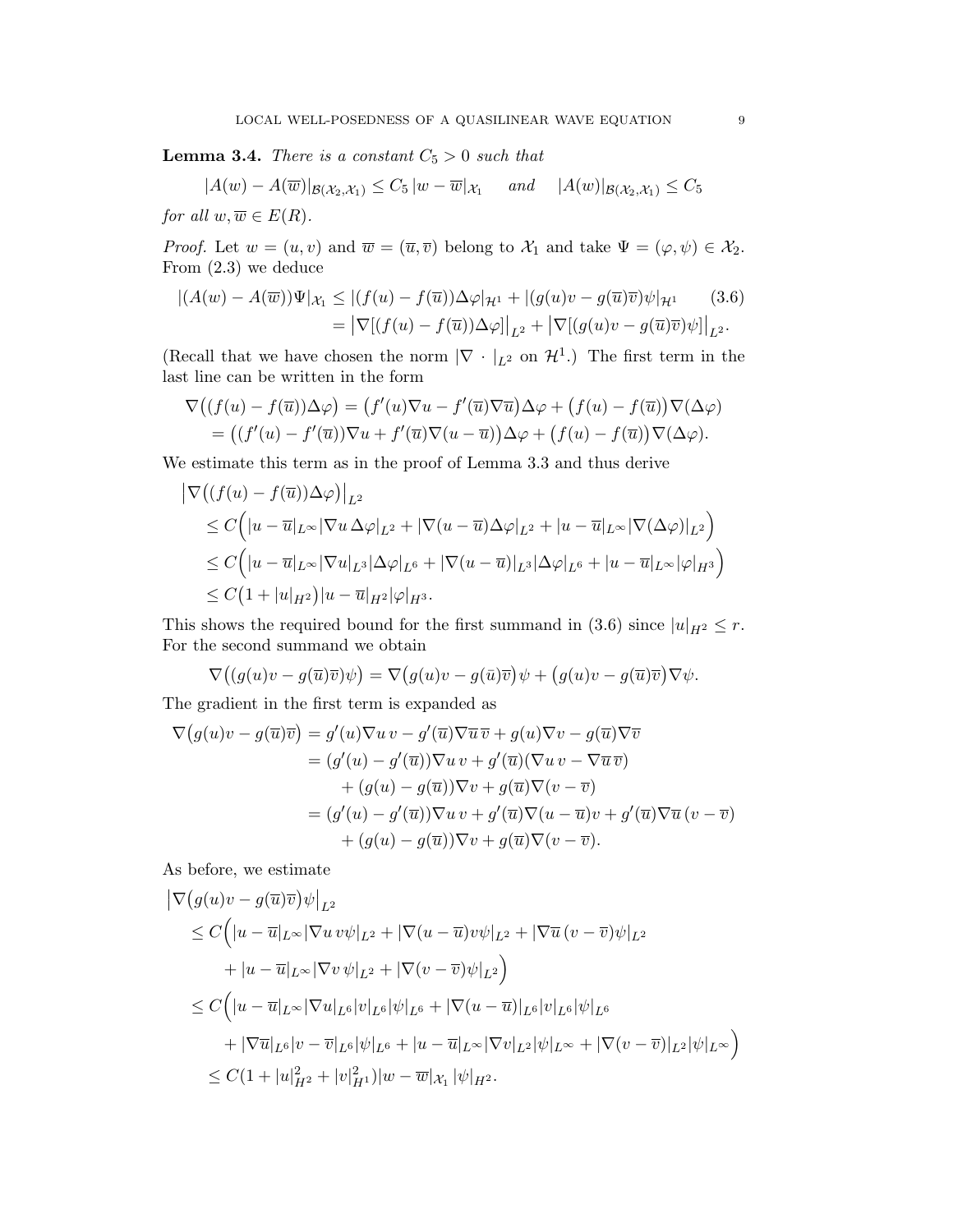**Lemma 3.4.** There is a constant  $C_5 > 0$  such that

$$
|A(w) - A(\overline{w})|_{\mathcal{B}(\mathcal{X}_2, \mathcal{X}_1)} \leq C_5 |w - \overline{w}|_{\mathcal{X}_1} \quad \text{and} \quad |A(w)|_{\mathcal{B}(\mathcal{X}_2, \mathcal{X}_1)} \leq C_5
$$

for all  $w, \overline{w} \in E(R)$ .

*Proof.* Let  $w = (u, v)$  and  $\overline{w} = (\overline{u}, \overline{v})$  belong to  $\mathcal{X}_1$  and take  $\Psi = (\varphi, \psi) \in \mathcal{X}_2$ . From (2.3) we deduce

$$
\left| (A(w) - A(\overline{w})) \Psi \right|_{\mathcal{X}_1} \leq \left| (f(u) - f(\overline{u})) \Delta \varphi \right|_{\mathcal{H}^1} + \left| (g(u)v - g(\overline{u})\overline{v}) \psi \right|_{\mathcal{H}^1} \tag{3.6}
$$

$$
= \left| \nabla \left[ (f(u) - f(\overline{u})) \Delta \varphi \right] \right|_{L^2} + \left| \nabla \left[ (g(u)v - g(\overline{u})\overline{v}) \psi \right] \right|_{L^2}.
$$

(Recall that we have chosen the norm  $|\nabla \cdot |_{L^2}$  on  $\mathcal{H}^1$ .) The first term in the last line can be written in the form

$$
\nabla \big( (f(u) - f(\overline{u})) \Delta \varphi \big) = (f'(u) \nabla u - f'(\overline{u}) \nabla \overline{u}) \Delta \varphi + (f(u) - f(\overline{u})) \nabla (\Delta \varphi)
$$
  
= ((f'(u) - f'(\overline{u})) \nabla u + f'(\overline{u}) \nabla (u - \overline{u})) \Delta \varphi + (f(u) - f(\overline{u})) \nabla (\Delta \varphi).

We estimate this term as in the proof of Lemma 3.3 and thus derive

$$
\begin{aligned} \left| \nabla \big( (f(u) - f(\overline{u})) \Delta \varphi \big) \right|_{L^2} \\ &\leq C \Big( |u - \overline{u}|_{L^\infty} |\nabla u \Delta \varphi|_{L^2} + |\nabla (u - \overline{u}) \Delta \varphi|_{L^2} + |u - \overline{u}|_{L^\infty} |\nabla (\Delta \varphi)|_{L^2} \Big) \\ &\leq C \Big( |u - \overline{u}|_{L^\infty} |\nabla u|_{L^3} |\Delta \varphi|_{L^6} + |\nabla (u - \overline{u})|_{L^3} |\Delta \varphi|_{L^6} + |u - \overline{u}|_{L^\infty} |\varphi|_{H^3} \Big) \\ &\leq C \big( 1 + |u|_{H^2} \big) |u - \overline{u}|_{H^2} |\varphi|_{H^3}. \end{aligned}
$$

This shows the required bound for the first summand in (3.6) since  $|u|_{H^2} \leq r$ . For the second summand we obtain

$$
\nabla \big( (g(u)v - g(\overline{u})\overline{v})\psi \big) = \nabla \big( g(u)v - g(\overline{u})\overline{v} \big) \psi + \big( g(u)v - g(\overline{u})\overline{v} \big) \nabla \psi.
$$

The gradient in the first term is expanded as

$$
\nabla (g(u)v - g(\overline{u})\overline{v}) = g'(u)\nabla u v - g'(\overline{u})\nabla \overline{u}\overline{v} + g(u)\nabla v - g(\overline{u})\nabla \overline{v}
$$
  
\n
$$
= (g'(u) - g'(\overline{u}))\nabla u v + g'(\overline{u})(\nabla u v - \nabla \overline{u}\overline{v})
$$
  
\n
$$
+ (g(u) - g(\overline{u}))\nabla v + g(\overline{u})\nabla (v - \overline{v})
$$
  
\n
$$
= (g'(u) - g'(\overline{u}))\nabla u v + g'(\overline{u})\nabla (u - \overline{u})v + g'(\overline{u})\nabla \overline{u} (v - \overline{v})
$$
  
\n
$$
+ (g(u) - g(\overline{u}))\nabla v + g(\overline{u})\nabla (v - \overline{v}).
$$

As before, we estimate

$$
\begin{split}\n& |\nabla \big(g(u)v - g(\overline{u})\overline{v}\big)\psi\big|_{L^2} \\
&\leq C\Big(|u - \overline{u}|_{L^\infty}|\nabla u v\psi|_{L^2} + |\nabla (u - \overline{u})v\psi|_{L^2} + |\nabla \overline{u}(v - \overline{v})\psi|_{L^2} \\
&\quad + |u - \overline{u}|_{L^\infty}|\nabla v \psi|_{L^2} + |\nabla (v - \overline{v})\psi|_{L^2}\Big) \\
&\leq C\Big(|u - \overline{u}|_{L^\infty}|\nabla u|_{L^6}|v|_{L^6}|\psi|_{L^6} + |\nabla (u - \overline{u})|_{L^6}|v|_{L^6}|\psi|_{L^6} \\
&\quad + |\nabla \overline{u}|_{L^6}|v - \overline{v}|_{L^6}|\psi|_{L^6} + |u - \overline{u}|_{L^\infty}|\nabla v|_{L^2}|\psi|_{L^\infty} + |\nabla (v - \overline{v})|_{L^2}|\psi|_{L^\infty}\Big) \\
&\leq C(1 + |u|_{H^2}^2 + |v|_{H^1}^2)|w - \overline{w}|_{\mathcal{X}_1}|\psi|_{H^2}.\n\end{split}
$$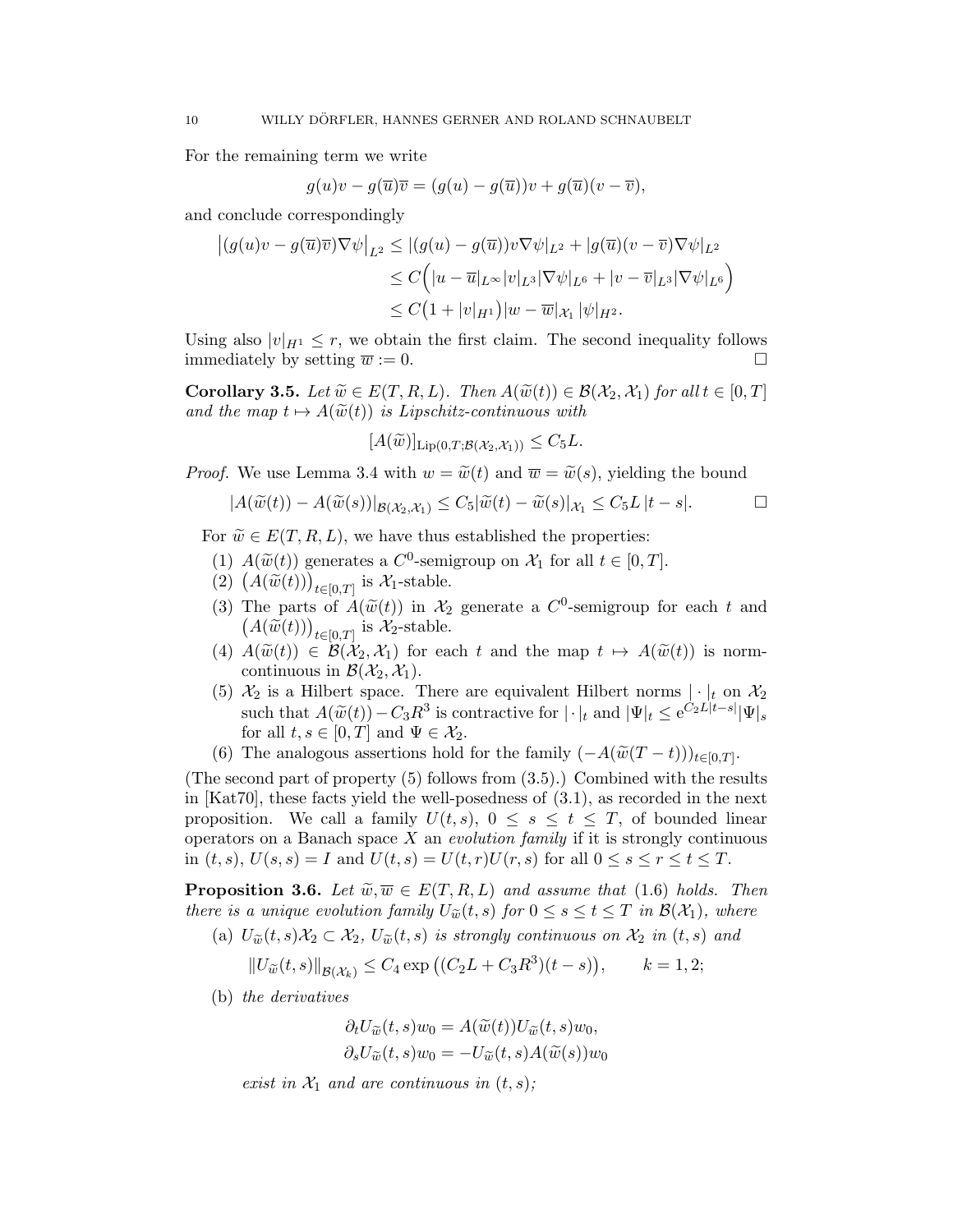For the remaining term we write

$$
g(u)v - g(\overline{u})\overline{v} = (g(u) - g(\overline{u}))v + g(\overline{u})(v - \overline{v}),
$$

and conclude correspondingly

$$
\begin{aligned} \left| (g(u)v - g(\overline{u})\overline{v})\nabla\psi \right|_{L^2} &\leq \left| (g(u) - g(\overline{u}))v\nabla\psi \right|_{L^2} + \left| g(\overline{u})(v - \overline{v})\nabla\psi \right|_{L^2} \\ &\leq C \Big( |u - \overline{u}|_{L^\infty}|v|_{L^3}|\nabla\psi|_{L^6} + |v - \overline{v}|_{L^3}|\nabla\psi|_{L^6} \Big) \\ &\leq C \big( 1 + |v|_{H^1} \big) |w - \overline{w}|_{\mathcal{X}_1} \, |\psi|_{H^2}. \end{aligned}
$$

Using also  $|v|_{H^1} \leq r$ , we obtain the first claim. The second inequality follows immediately by setting  $\overline{w} := 0$ .

Corollary 3.5. Let  $\widetilde{w} \in E(T, R, L)$ . Then  $A(\widetilde{w}(t)) \in \mathcal{B}(\mathcal{X}_2, \mathcal{X}_1)$  for all  $t \in [0, T]$ and the map  $t \mapsto A(\widetilde{w}(t))$  is Lipschitz-continuous with

$$
[A(\widetilde{w})]_{\text{Lip}(0,T;\mathcal{B}(\mathcal{X}_2,\mathcal{X}_1))} \leq C_5L.
$$

*Proof.* We use Lemma 3.4 with  $w = \tilde{w}(t)$  and  $\overline{w} = \tilde{w}(s)$ , yielding the bound

$$
|A(\widetilde{w}(t)) - A(\widetilde{w}(s))|_{\mathcal{B}(\mathcal{X}_2,\mathcal{X}_1)} \leq C_5 |\widetilde{w}(t) - \widetilde{w}(s)|_{\mathcal{X}_1} \leq C_5 L |t - s|.
$$

For  $\widetilde{w} \in E(T, R, L)$ , we have thus established the properties:

- (1)  $A(\tilde{w}(t))$  generates a  $C^0$ -semigroup on  $\mathcal{X}_1$  for all  $t \in [0, T]$ .<br>(2)  $(A(\tilde{w}(t)))$  is  $\mathcal{X}_t$  stable
- (2)  $(A(\widetilde{w}(t)))_{t\in[0,T]}$  is  $\mathcal{X}_1$ -stable.
- (3) The parts of  $\hat{A}(\widetilde{w}(t))$  in  $\mathcal{X}_2$  generate a  $C^0$ -semigroup for each t and  $(A(\widetilde{w}(t)))$  is  $\mathcal{X}_2$  stable  $(A(\widetilde{w}(t)))_{t\in[0,T]}$  is  $\mathcal{X}_2$ -stable.
- (4)  $A(\widetilde{w}(t)) \in \mathcal{B}(\mathcal{X}_2, \mathcal{X}_1)$  for each t and the map  $t \mapsto A(\widetilde{w}(t))$  is normcontinuous in  $\mathcal{B}(\mathcal{X}_2, \mathcal{X}_1)$ .
- (5)  $\mathcal{X}_2$  is a Hilbert space. There are equivalent Hilbert norms  $|\cdot|_t$  on  $\mathcal{X}_2$ such that  $A(\widetilde{w}(t)) - C_3 R^3$  is contractive for  $|\cdot|_t$  and  $|\Psi|_t \le e^{C_2 L |t-s|} |\Psi|_s$ <br>for all  $t \in [0, T]$  and  $\Psi \in \mathcal{X}$ . for all  $t, s \in [0, T]$  and  $\Psi \in \mathcal{X}_2$ .
- (6) The analogous assertions hold for the family  $(-A(\widetilde{w}(T-t)))_{t\in[0,T]}$ .

(The second part of property (5) follows from (3.5).) Combined with the results in [Kat70], these facts yield the well-posedness of (3.1), as recorded in the next proposition. We call a family  $U(t, s)$ ,  $0 \leq s \leq t \leq T$ , of bounded linear operators on a Banach space  $X$  an *evolution family* if it is strongly continuous in  $(t, s)$ ,  $U(s, s) = I$  and  $U(t, s) = U(t, r)U(r, s)$  for all  $0 \leq s \leq r \leq t \leq T$ .

**Proposition 3.6.** Let  $\widetilde{w}, \overline{w} \in E(T, R, L)$  and assume that (1.6) holds. Then there is a unique evolution family  $U_{\widetilde{w}}(t, s)$  for  $0 \leq s \leq t \leq T$  in  $\mathcal{B}(\mathcal{X}_1)$ , where

(a)  $U_{\widetilde{w}}(t,s)\mathcal{X}_2 \subset \mathcal{X}_2$ ,  $U_{\widetilde{w}}(t,s)$  is strongly continuous on  $\mathcal{X}_2$  in  $(t,s)$  and

$$
||U_{\widetilde{w}}(t,s)||_{\mathcal{B}(\mathcal{X}_k)} \leq C_4 \exp \big( (C_2L + C_3R^3)(t-s) \big), \qquad k=1,2;
$$

(b) the derivatives

$$
\partial_t U_{\widetilde{w}}(t,s)w_0 = A(\widetilde{w}(t))U_{\widetilde{w}}(t,s)w_0,
$$
  

$$
\partial_s U_{\widetilde{w}}(t,s)w_0 = -U_{\widetilde{w}}(t,s)A(\widetilde{w}(s))w_0
$$

exist in  $\mathcal{X}_1$  and are continuous in  $(t, s)$ ;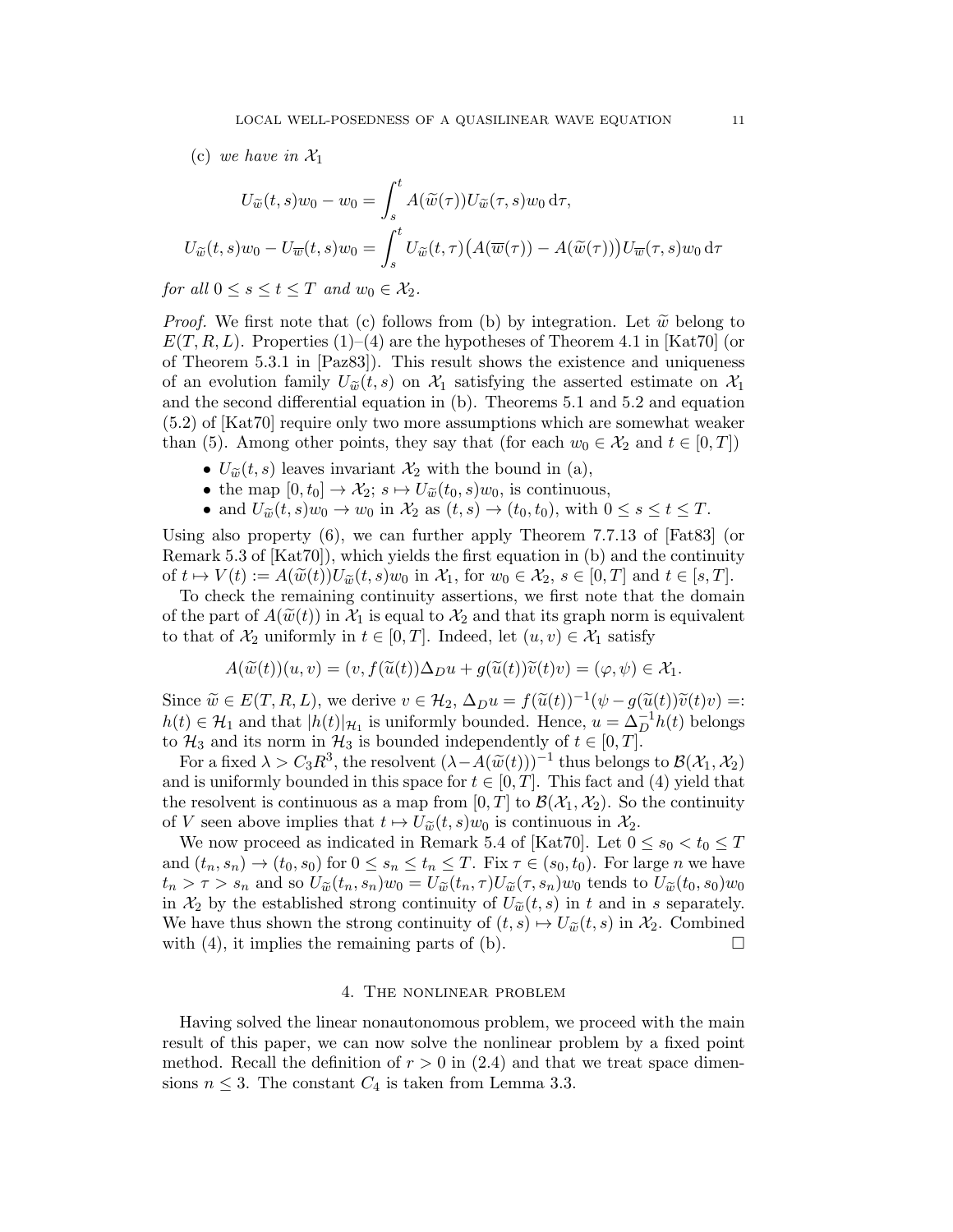(c) we have in  $\mathcal{X}_1$ 

$$
U_{\widetilde{w}}(t,s)w_0 - w_0 = \int_s^t A(\widetilde{w}(\tau))U_{\widetilde{w}}(\tau,s)w_0 d\tau,
$$
  

$$
U_{\widetilde{w}}(t,s)w_0 - U_{\overline{w}}(t,s)w_0 = \int_s^t U_{\widetilde{w}}(t,\tau)\big(A(\overline{w}(\tau)) - A(\widetilde{w}(\tau))\big)U_{\overline{w}}(\tau,s)w_0 d\tau
$$

for all  $0 \leq s \leq t \leq T$  and  $w_0 \in \mathcal{X}_2$ .

*Proof.* We first note that (c) follows from (b) by integration. Let  $\tilde{w}$  belong to  $E(T, R, L)$ . Properties (1)–(4) are the hypotheses of Theorem 4.1 in [Kat70] (or of Theorem 5.3.1 in [Paz83]). This result shows the existence and uniqueness of an evolution family  $U_{\widetilde{w}}(t,s)$  on  $\mathcal{X}_1$  satisfying the asserted estimate on  $\mathcal{X}_1$ and the second differential equation in (b). Theorems 5.1 and 5.2 and equation (5.2) of [Kat70] require only two more assumptions which are somewhat weaker than (5). Among other points, they say that (for each  $w_0 \in \mathcal{X}_2$  and  $t \in [0, T]$ )

- $U_{\widetilde{w}}(t, s)$  leaves invariant  $\mathcal{X}_2$  with the bound in (a),
- the map  $[0, t_0] \to \mathcal{X}_2$ ;  $s \mapsto U_{\widetilde{w}}(t_0, s)w_0$ , is continuous,
- and  $U_{\widetilde{w}}(t,s)w_0 \to w_0$  in  $\mathcal{X}_2$  as  $(t,s) \to (t_0,t_0)$ , with  $0 \le s \le t \le T$ .

Using also property (6), we can further apply Theorem 7.7.13 of [Fat83] (or Remark 5.3 of [Kat70]), which yields the first equation in (b) and the continuity of  $t \mapsto V(t) := A(\widetilde{w}(t))U_{\widetilde{w}}(t, s)w_0$  in  $\mathcal{X}_1$ , for  $w_0 \in \mathcal{X}_2$ ,  $s \in [0, T]$  and  $t \in [s, T]$ .

To check the remaining continuity assertions, we first note that the domain of the part of  $A(\widetilde{w}(t))$  in  $\mathcal{X}_1$  is equal to  $\mathcal{X}_2$  and that its graph norm is equivalent to that of  $\mathcal{X}_2$  uniformly in  $t \in [0, T]$ . Indeed, let  $(u, v) \in \mathcal{X}_1$  satisfy

$$
A(\widetilde{w}(t))(u,v) = (v, f(\widetilde{u}(t))\Delta_D u + g(\widetilde{u}(t))\widetilde{v}(t)v) = (\varphi, \psi) \in \mathcal{X}_1.
$$

Since  $\widetilde{w} \in E(T, R, L)$ , we derive  $v \in H_2$ ,  $\Delta_{D}u = f(\widetilde{u}(t))^{-1}(\psi - g(\widetilde{u}(t))\widetilde{v}(t)v) =:$ <br> $h(t) \in \mathcal{U}$  and that  $|h(t)|_{\infty}$  is uniformly bounded. Hence  $v = \lambda^{-1}h(t)$  belongs  $h(t) \in \mathcal{H}_1$  and that  $|h(t)|_{\mathcal{H}_1}$  is uniformly bounded. Hence,  $u = \Delta_D^{-1} h(t)$  belongs to  $\mathcal{H}_3$  and its norm in  $\mathcal{H}_3$  is bounded independently of  $t \in [0, T]$ .

For a fixed  $\lambda > C_3 R^3$ , the resolvent  $(\lambda - A(\widetilde{w}(t)))^{-1}$  thus belongs to  $\mathcal{B}(\mathcal{X}_1, \mathcal{X}_2)$ <br>d is uniformly bounded in this space for  $t \in [0, T]$ . This fact and (4) yield that and is uniformly bounded in this space for  $t \in [0, T]$ . This fact and (4) yield that the resolvent is continuous as a map from  $[0, T]$  to  $\mathcal{B}(\mathcal{X}_1, \mathcal{X}_2)$ . So the continuity of V seen above implies that  $t \mapsto U_{\widetilde{w}}(t, s)w_0$  is continuous in  $\mathcal{X}_2$ .

We now proceed as indicated in Remark 5.4 of [Kat70]. Let  $0 \le s_0 < t_0 \le T$ and  $(t_n, s_n) \to (t_0, s_0)$  for  $0 \le s_n \le t_n \le T$ . Fix  $\tau \in (s_0, t_0)$ . For large *n* we have  $t_n > \tau > s_n$  and so  $U_{\widetilde{w}}(t_n, s_n)w_0 = U_{\widetilde{w}}(t_n, \tau)U_{\widetilde{w}}(\tau, s_n)w_0$  tends to  $U_{\widetilde{w}}(t_0, s_0)w_0$ in  $\mathcal{X}_2$  by the established strong continuity of  $U_{\tilde{w}}(t, s)$  in t and in s separately. We have thus shown the strong continuity of  $(t, s) \mapsto U_{\tilde{w}}(t, s)$  in  $\mathcal{X}_2$ . Combined with (4), it implies the remaining parts of (b). with (4), it implies the remaining parts of (b).

# 4. The nonlinear problem

Having solved the linear nonautonomous problem, we proceed with the main result of this paper, we can now solve the nonlinear problem by a fixed point method. Recall the definition of  $r > 0$  in (2.4) and that we treat space dimensions  $n \leq 3$ . The constant  $C_4$  is taken from Lemma 3.3.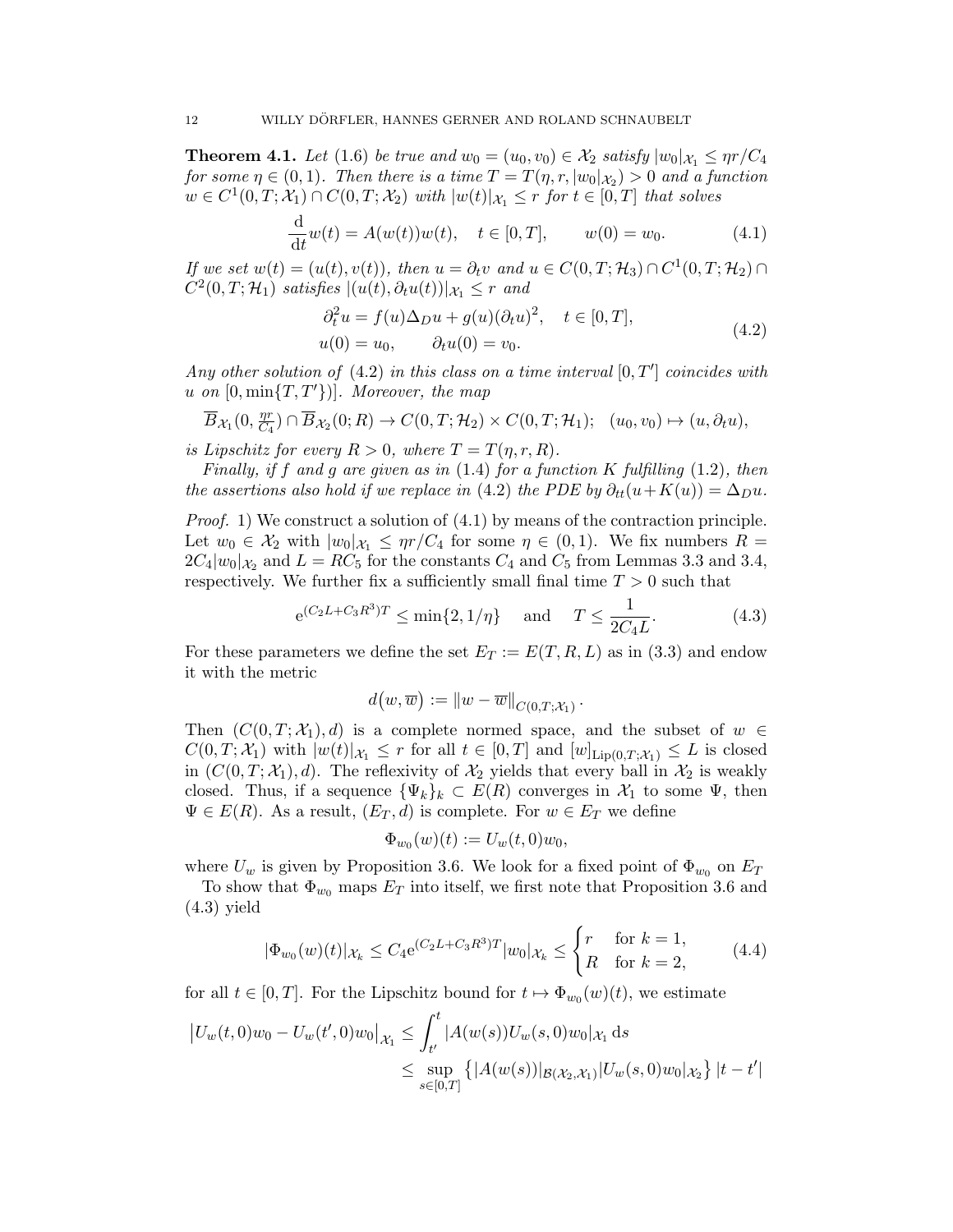**Theorem 4.1.** Let (1.6) be true and  $w_0 = (u_0, v_0) \in \mathcal{X}_2$  satisfy  $|w_0|_{\mathcal{X}_1} \leq \eta r/C_4$ for some  $\eta \in (0,1)$ . Then there is a time  $T = T(\eta, r, |w_0|_{\mathcal{X}_2}) > 0$  and a function  $w \in C^1(0,T; \mathcal{X}_1) \cap C(0,T; \mathcal{X}_2)$  with  $|w(t)|_{\mathcal{X}_1} \leq r$  for  $t \in [0,T]$  that solves

$$
\frac{d}{dt}w(t) = A(w(t))w(t), \quad t \in [0, T], \qquad w(0) = w_0.
$$
\n(4.1)

If we set  $w(t) = (u(t), v(t))$ , then  $u = \partial_t v$  and  $u \in C(0, T; \mathcal{H}_3) \cap C^1(0, T; \mathcal{H}_2) \cap$  $C^2(0,T;\mathcal{H}_1)$  satisfies  $|(u(t),\partial_t u(t))|_{\mathcal{X}_1} \leq r$  and

$$
\partial_t^2 u = f(u)\Delta_D u + g(u)(\partial_t u)^2, \quad t \in [0, T],
$$
  
 
$$
u(0) = u_0, \qquad \partial_t u(0) = v_0.
$$
 (4.2)

Any other solution of  $(4.2)$  in this class on a time interval  $[0, T']$  coincides with u on  $[0, \min\{T, T'\})$ . Moreover, the map

$$
\overline{B}_{\mathcal{X}_1}(0,\tfrac{\eta r}{C_4})\cap \overline{B}_{\mathcal{X}_2}(0;R)\to C(0,T;\mathcal{H}_2)\times C(0,T;\mathcal{H}_1); (u_0,v_0)\mapsto (u,\partial_t u),
$$

is Lipschitz for every  $R > 0$ , where  $T = T(\eta, r, R)$ .

Finally, if f and g are given as in  $(1.4)$  for a function K fulfilling  $(1.2)$ , then the assertions also hold if we replace in (4.2) the PDE by  $\partial_{tt}(u+K(u)) = \Delta_D u$ .

Proof. 1) We construct a solution of  $(4.1)$  by means of the contraction principle. Let  $w_0 \in \mathcal{X}_2$  with  $|w_0|_{\mathcal{X}_1} \leq \eta r/C_4$  for some  $\eta \in (0,1)$ . We fix numbers  $R =$  $2C_4|w_0|_{\mathcal{X}_2}$  and  $L = RC_5$  for the constants  $C_4$  and  $C_5$  from Lemmas 3.3 and 3.4, respectively. We further fix a sufficiently small final time  $T > 0$  such that

$$
e^{(C_2L+C_3R^3)T} \le \min\{2, 1/\eta\}
$$
 and  $T \le \frac{1}{2C_4L}$ . (4.3)

For these parameters we define the set  $E_T := E(T, R, L)$  as in (3.3) and endow it with the metric

$$
d(w,\overline{w}) := ||w - \overline{w}||_{C(0,T;\mathcal{X}_1)}.
$$

Then  $(C(0, T; \mathcal{X}_1), d)$  is a complete normed space, and the subset of  $w \in$  $C(0,T; \mathcal{X}_1)$  with  $|w(t)|_{\mathcal{X}_1} \leq r$  for all  $t \in [0,T]$  and  $[w]_{\text{Lip}(0,T; \mathcal{X}_1)} \leq L$  is closed in  $(C(0, T; \mathcal{X}_1), d)$ . The reflexivity of  $\mathcal{X}_2$  yields that every ball in  $\mathcal{X}_2$  is weakly closed. Thus, if a sequence  $\{\Psi_k\}_k \subset E(R)$  converges in  $\mathcal{X}_1$  to some  $\Psi$ , then  $\Psi \in E(R)$ . As a result,  $(E_T, d)$  is complete. For  $w \in E_T$  we define

$$
\Phi_{w_0}(w)(t) := U_w(t,0)w_0,
$$

where  $U_w$  is given by Proposition 3.6. We look for a fixed point of  $\Phi_{w_0}$  on  $E_T$ 

To show that  $\Phi_{w_0}$  maps  $E_T$  into itself, we first note that Proposition 3.6 and (4.3) yield

$$
|\Phi_{w_0}(w)(t)|_{\mathcal{X}_k} \le C_4 e^{(C_2 L + C_3 R^3)T} |w_0|_{\mathcal{X}_k} \le \begin{cases} r & \text{for } k = 1, \\ R & \text{for } k = 2, \end{cases}
$$
 (4.4)

for all  $t \in [0, T]$ . For the Lipschitz bound for  $t \mapsto \Phi_{w_0}(w)(t)$ , we estimate

$$
\begin{aligned} \left| U_w(t,0)w_0 - U_w(t',0)w_0 \right|_{\mathcal{X}_1} &\leq \int_{t'}^t \left| A(w(s))U_w(s,0)w_0 \right|_{\mathcal{X}_1} \mathrm{d}s \\ &\leq \sup_{s \in [0,T]} \left\{ \left| A(w(s)) \right|_{\mathcal{B}(\mathcal{X}_2,\mathcal{X}_1)} \left| U_w(s,0)w_0 \right|_{\mathcal{X}_2} \right\} |t-t'| \end{aligned}
$$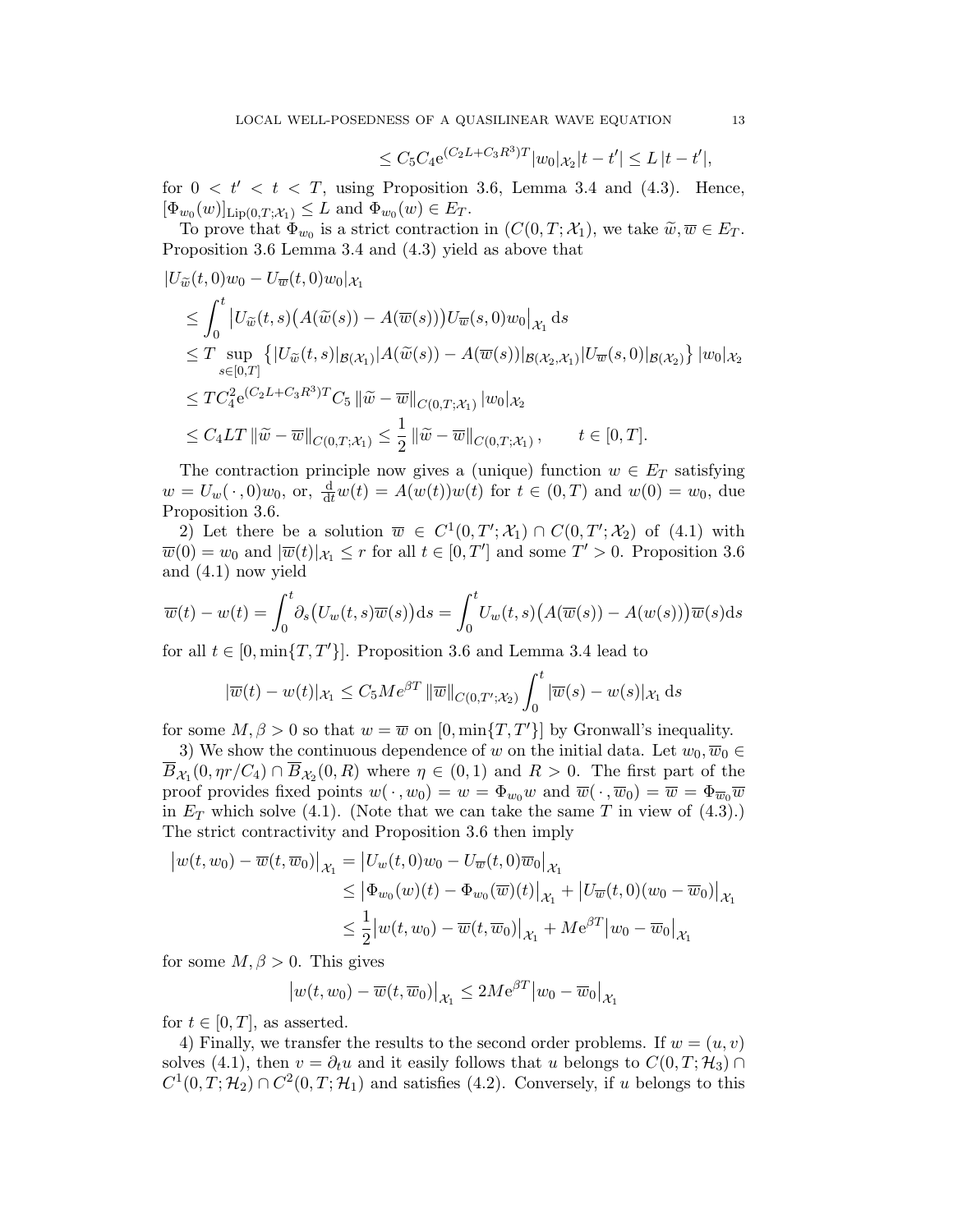$$
\leq C_5 C_4 e^{(C_2 L + C_3 R^3)T} |w_0|_{\mathcal{X}_2} |t - t'| \leq L |t - t'|,
$$

for  $0 < t' < t < T$ , using Proposition 3.6, Lemma 3.4 and (4.3). Hence,  $[\Phi_{w_0}(w)]_{\text{Lip}(0,T;\mathcal{X}_1)} \leq L$  and  $\Phi_{w_0}(w) \in E_T$ .

To prove that  $\Phi_{w_0}$  is a strict contraction in  $(C(0,T;\mathcal{X}_1))$ , we take  $\widetilde{w}, \overline{w} \in E_T$ . Proposition 3.6 Lemma 3.4 and (4.3) yield as above that

$$
|U_{\widetilde{w}}(t,0)w_0 - U_{\overline{w}}(t,0)w_0|_{\mathcal{X}_1}
$$
  
\n
$$
\leq \int_0^t |U_{\widetilde{w}}(t,s) (A(\widetilde{w}(s)) - A(\overline{w}(s))) U_{\overline{w}}(s,0)w_0|_{\mathcal{X}_1} ds
$$
  
\n
$$
\leq T \sup_{s \in [0,T]} \{ |U_{\widetilde{w}}(t,s)|_{\mathcal{B}(\mathcal{X}_1)} | A(\widetilde{w}(s)) - A(\overline{w}(s))|_{\mathcal{B}(\mathcal{X}_2,\mathcal{X}_1)} | U_{\overline{w}}(s,0)|_{\mathcal{B}(\mathcal{X}_2)} \} |w_0|_{\mathcal{X}_2}
$$
  
\n
$$
\leq TC_4^2 e^{(C_2L + C_3 R^3)T} C_5 ||\widetilde{w} - \overline{w}||_{C(0,T;\mathcal{X}_1)} |w_0|_{\mathcal{X}_2}
$$
  
\n
$$
\leq C_4 LT ||\widetilde{w} - \overline{w}||_{C(0,T;\mathcal{X}_1)} \leq \frac{1}{2} ||\widetilde{w} - \overline{w}||_{C(0,T;\mathcal{X}_1)}, \qquad t \in [0,T].
$$

The contraction principle now gives a (unique) function  $w \in E_T$  satisfying  $w = U_w(\cdot, 0)w_0$ , or,  $\frac{d}{dt}w(t) = A(w(t))w(t)$  for  $t \in (0, T)$  and  $w(0) = w_0$ , due Proposition 3.6.

2) Let there be a solution  $\overline{w} \in C^1(0,T';\mathcal{X}_1) \cap C(0,T';\mathcal{X}_2)$  of (4.1) with  $\overline{w}(0) = w_0$  and  $|\overline{w}(t)|_{\mathcal{X}_1} \leq r$  for all  $t \in [0, T']$  and some  $T' > 0$ . Proposition 3.6 and (4.1) now yield

$$
\overline{w}(t) - w(t) = \int_0^t \partial_s (U_w(t, s)\overline{w}(s)) ds = \int_0^t U_w(t, s) (A(\overline{w}(s)) - A(w(s))) \overline{w}(s) ds
$$

for all  $t \in [0, \min\{T, T'\}]$ . Proposition 3.6 and Lemma 3.4 lead to

$$
|\overline{w}(t) - w(t)|_{\mathcal{X}_1} \leq C_5 Me^{\beta T} \|\overline{w}\|_{C(0,T';\mathcal{X}_2)} \int_0^t |\overline{w}(s) - w(s)|_{\mathcal{X}_1} ds
$$

for some  $M, \beta > 0$  so that  $w = \overline{w}$  on  $[0, \min\{T, T'\}]$  by Gronwall's inequality.

3) We show the continuous dependence of w on the initial data. Let  $w_0, \overline{w}_0 \in$  $\overline{B}_{\mathcal{X}_1}(0, \eta r/C_4) \cap \overline{B}_{\mathcal{X}_2}(0, R)$  where  $\eta \in (0, 1)$  and  $R > 0$ . The first part of the proof provides fixed points  $w(\cdot, w_0) = w = \Phi_{w_0} w$  and  $\overline{w}(\cdot, \overline{w}_0) = \overline{w} = \Phi_{\overline{w}_0} \overline{w}$ in  $E_T$  which solve (4.1). (Note that we can take the same T in view of (4.3).) The strict contractivity and Proposition 3.6 then imply

$$
\begin{aligned} \left| w(t, w_0) - \overline{w}(t, \overline{w}_0) \right|_{\mathcal{X}_1} &= \left| U_w(t, 0) w_0 - U_{\overline{w}}(t, 0) \overline{w}_0 \right|_{\mathcal{X}_1} \\ &\le \left| \Phi_{w_0}(w)(t) - \Phi_{w_0}(\overline{w})(t) \right|_{\mathcal{X}_1} + \left| U_{\overline{w}}(t, 0) (w_0 - \overline{w}_0) \right|_{\mathcal{X}_1} \\ &\le \frac{1}{2} \left| w(t, w_0) - \overline{w}(t, \overline{w}_0) \right|_{\mathcal{X}_1} + M e^{\beta T} \left| w_0 - \overline{w}_0 \right|_{\mathcal{X}_1} \end{aligned}
$$

for some  $M, \beta > 0$ . This gives

$$
\left| w(t, w_0) - \overline{w}(t, \overline{w}_0) \right|_{\mathcal{X}_1} \leq 2M e^{\beta T} \left| w_0 - \overline{w}_0 \right|_{\mathcal{X}_1}
$$

for  $t \in [0, T]$ , as asserted.

4) Finally, we transfer the results to the second order problems. If  $w = (u, v)$ solves (4.1), then  $v = \partial_t u$  and it easily follows that u belongs to  $C(0,T; \mathcal{H}_3) \cap$  $C^1(0,T;\mathcal{H}_2) \cap C^2(0,T;\mathcal{H}_1)$  and satisfies (4.2). Conversely, if u belongs to this